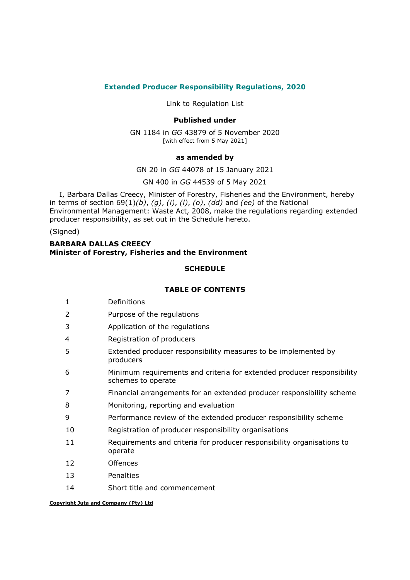# Extended Producer Responsibility Regulations, 2020

Link to Regulation List

## Published under

GN 1184 in GG 43879 of 5 November 2020 [with effect from 5 May 2021]

#### as amended by

GN 20 in GG 44078 of 15 January 2021

GN 400 in GG 44539 of 5 May 2021

I, Barbara Dallas Creecy, Minister of Forestry, Fisheries and the Environment, hereby in terms of section 69(1)(b), (g), (i), (l), (o), (dd) and (ee) of the National Environmental Management: Waste Act, 2008, make the regulations regarding extended producer responsibility, as set out in the Schedule hereto.

(Signed)

## BARBARA DALLAS CREECY Minister of Forestry, Fisheries and the Environment

#### **SCHEDULE**

## TABLE OF CONTENTS

- 2 Purpose of the regulations
- 3 Application of the regulations
- 4 Registration of producers
- 5 Extended producer responsibility measures to be implemented by producers
- 6 Minimum requirements and criteria for extended producer responsibility schemes to operate
- 7 Financial arrangements for an extended producer responsibility scheme
- 8 Monitoring, reporting and evaluation
- 9 Performance review of the extended producer responsibility scheme
- 10 Registration of producer responsibility organisations
- 11 Requirements and criteria for producer responsibility organisations to operate
- 12 Offences
- 13 Penalties
- 14 Short title and commencement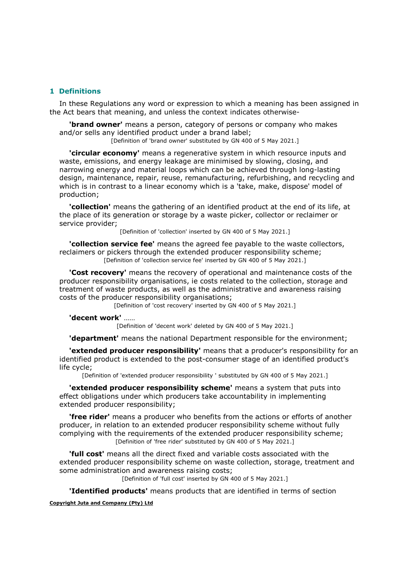## 1 Definitions

In these Regulations any word or expression to which a meaning has been assigned in the Act bears that meaning, and unless the context indicates otherwise-

**'brand owner'** means a person, category of persons or company who makes and/or sells any identified product under a brand label;

[Definition of 'brand owner' substituted by GN 400 of 5 May 2021.]

'circular economy' means a regenerative system in which resource inputs and waste, emissions, and energy leakage are minimised by slowing, closing, and narrowing energy and material loops which can be achieved through long-lasting design, maintenance, repair, reuse, remanufacturing, refurbishing, and recycling and which is in contrast to a linear economy which is a 'take, make, dispose' model of production;

'collection' means the gathering of an identified product at the end of its life, at the place of its generation or storage by a waste picker, collector or reclaimer or service provider;

[Definition of 'collection' inserted by GN 400 of 5 May 2021.]

**'collection service fee'** means the agreed fee payable to the waste collectors, reclaimers or pickers through the extended producer responsibility scheme; [Definition of 'collection service fee' inserted by GN 400 of 5 May 2021.]

**'Cost recovery'** means the recovery of operational and maintenance costs of the producer responsibility organisations, ie costs related to the collection, storage and treatment of waste products, as well as the administrative and awareness raising costs of the producer responsibility organisations;

[Definition of 'cost recovery' inserted by GN 400 of 5 May 2021.]

#### 'decent work' ……

[Definition of 'decent work' deleted by GN 400 of 5 May 2021.]

**'department'** means the national Department responsible for the environment;

'extended producer responsibility' means that a producer's responsibility for an identified product is extended to the post-consumer stage of an identified product's life cycle;

[Definition of 'extended producer responsibility ' substituted by GN 400 of 5 May 2021.]

'extended producer responsibility scheme' means a system that puts into effect obligations under which producers take accountability in implementing extended producer responsibility;

**'free rider'** means a producer who benefits from the actions or efforts of another producer, in relation to an extended producer responsibility scheme without fully complying with the requirements of the extended producer responsibility scheme; [Definition of 'free rider' substituted by GN 400 of 5 May 2021.]

**'full cost'** means all the direct fixed and variable costs associated with the extended producer responsibility scheme on waste collection, storage, treatment and some administration and awareness raising costs;

[Definition of 'full cost' inserted by GN 400 of 5 May 2021.]

**'Identified products'** means products that are identified in terms of section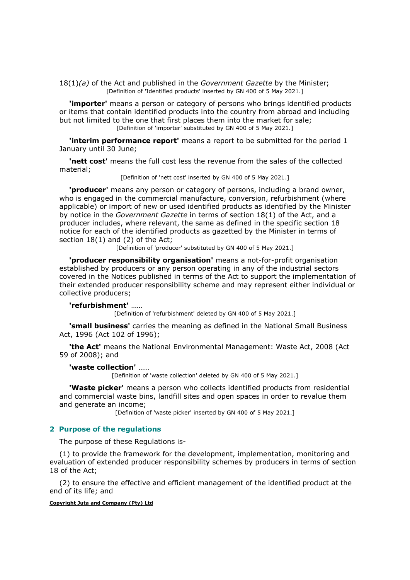$18(1)(a)$  of the Act and published in the Government Gazette by the Minister; [Definition of 'Identified products' inserted by GN 400 of 5 May 2021.]

'importer' means a person or category of persons who brings identified products or items that contain identified products into the country from abroad and including but not limited to the one that first places them into the market for sale; [Definition of 'importer' substituted by GN 400 of 5 May 2021.]

**'interim performance report'** means a report to be submitted for the period 1 January until 30 June;

'nett cost' means the full cost less the revenue from the sales of the collected material;

[Definition of 'nett cost' inserted by GN 400 of 5 May 2021.]

'producer' means any person or category of persons, including a brand owner, who is engaged in the commercial manufacture, conversion, refurbishment (where applicable) or import of new or used identified products as identified by the Minister by notice in the Government Gazette in terms of section 18(1) of the Act, and a producer includes, where relevant, the same as defined in the specific section 18 notice for each of the identified products as gazetted by the Minister in terms of section 18(1) and (2) of the Act;

[Definition of 'producer' substituted by GN 400 of 5 May 2021.]

'producer responsibility organisation' means a not-for-profit organisation established by producers or any person operating in any of the industrial sectors covered in the Notices published in terms of the Act to support the implementation of their extended producer responsibility scheme and may represent either individual or collective producers;

#### 'refurbishment' ……

[Definition of 'refurbishment' deleted by GN 400 of 5 May 2021.]

**'small business'** carries the meaning as defined in the National Small Business Act, 1996 (Act 102 of 1996);

'the Act' means the National Environmental Management: Waste Act, 2008 (Act 59 of 2008); and

#### 'waste collection' ……

[Definition of 'waste collection' deleted by GN 400 of 5 May 2021.]

'Waste picker' means a person who collects identified products from residential and commercial waste bins, landfill sites and open spaces in order to revalue them and generate an income;

[Definition of 'waste picker' inserted by GN 400 of 5 May 2021.]

## 2 Purpose of the regulations

The purpose of these Regulations is-

(1) to provide the framework for the development, implementation, monitoring and evaluation of extended producer responsibility schemes by producers in terms of section 18 of the Act;

(2) to ensure the effective and efficient management of the identified product at the end of its life; and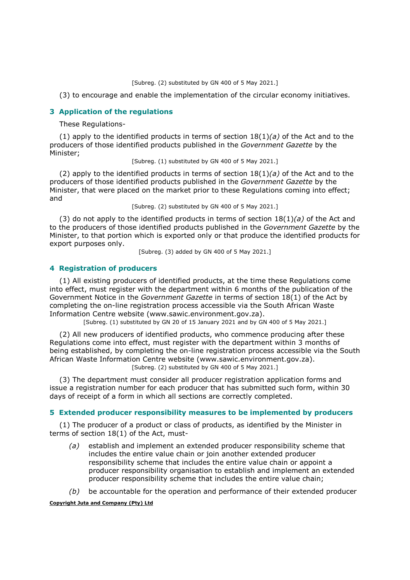[Subreg. (2) substituted by GN 400 of 5 May 2021.]

(3) to encourage and enable the implementation of the circular economy initiatives.

## 3 Application of the regulations

These Regulations-

(1) apply to the identified products in terms of section  $18(1)(a)$  of the Act and to the producers of those identified products published in the Government Gazette by the Minister;

[Subreg. (1) substituted by GN 400 of 5 May 2021.]

(2) apply to the identified products in terms of section  $18(1)(a)$  of the Act and to the producers of those identified products published in the Government Gazette by the Minister, that were placed on the market prior to these Regulations coming into effect; and

[Subreg. (2) substituted by GN 400 of 5 May 2021.]

(3) do not apply to the identified products in terms of section  $18(1)(a)$  of the Act and to the producers of those identified products published in the Government Gazette by the Minister, to that portion which is exported only or that produce the identified products for export purposes only.

[Subreg. (3) added by GN 400 of 5 May 2021.]

## 4 Registration of producers

(1) All existing producers of identified products, at the time these Regulations come into effect, must register with the department within 6 months of the publication of the Government Notice in the Government Gazette in terms of section 18(1) of the Act by completing the on-line registration process accessible via the South African Waste Information Centre website (www.sawic.environment.gov.za).

[Subreg. (1) substituted by GN 20 of 15 January 2021 and by GN 400 of 5 May 2021.]

(2) All new producers of identified products, who commence producing after these Regulations come into effect, must register with the department within 3 months of being established, by completing the on-line registration process accessible via the South African Waste Information Centre website (www.sawic.environment.gov.za). [Subreg. (2) substituted by GN 400 of 5 May 2021.]

(3) The department must consider all producer registration application forms and issue a registration number for each producer that has submitted such form, within 30 days of receipt of a form in which all sections are correctly completed.

#### 5 Extended producer responsibility measures to be implemented by producers

(1) The producer of a product or class of products, as identified by the Minister in terms of section 18(1) of the Act, must-

- (a) establish and implement an extended producer responsibility scheme that includes the entire value chain or join another extended producer responsibility scheme that includes the entire value chain or appoint a producer responsibility organisation to establish and implement an extended producer responsibility scheme that includes the entire value chain;
- $(b)$  be accountable for the operation and performance of their extended producer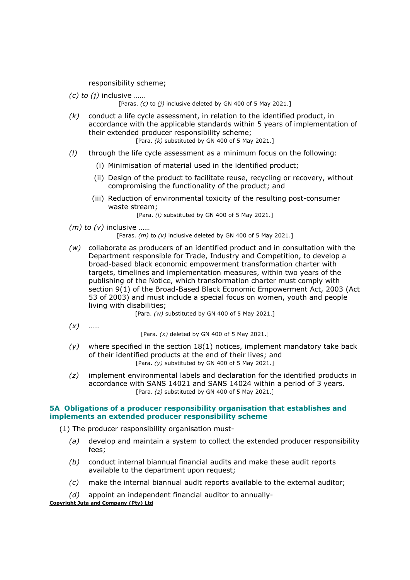responsibility scheme;

 $(c)$  to  $(i)$  inclusive ......

[Paras. (c) to (j) inclusive deleted by GN 400 of 5 May 2021.]

- $(k)$  conduct a life cycle assessment, in relation to the identified product, in accordance with the applicable standards within 5 years of implementation of their extended producer responsibility scheme; [Para.  $(k)$  substituted by GN 400 of 5 May 2021.]
- $(1)$  through the life cycle assessment as a minimum focus on the following:
	- (i) Minimisation of material used in the identified product;
	- (ii) Design of the product to facilitate reuse, recycling or recovery, without compromising the functionality of the product; and
	- (iii) Reduction of environmental toxicity of the resulting post-consumer waste stream;

[Para. (I) substituted by GN 400 of 5 May 2021.]

 $(m)$  to  $(v)$  inclusive ......

[Paras.  $(m)$  to  $(v)$  inclusive deleted by GN 400 of 5 May 2021.]

 $(w)$  collaborate as producers of an identified product and in consultation with the Department responsible for Trade, Industry and Competition, to develop a broad-based black economic empowerment transformation charter with targets, timelines and implementation measures, within two years of the publishing of the Notice, which transformation charter must comply with section 9(1) of the Broad-Based Black Economic Empowerment Act, 2003 (Act 53 of 2003) and must include a special focus on women, youth and people living with disabilities;

[Para. (w) substituted by GN 400 of 5 May 2021.]

 $(x)$  ……

[Para.  $(x)$  deleted by GN 400 of 5 May 2021.]

- $(y)$  where specified in the section 18(1) notices, implement mandatory take back of their identified products at the end of their lives; and [Para.  $(y)$  substituted by GN 400 of 5 May 2021.]
- $(z)$  implement environmental labels and declaration for the identified products in accordance with SANS 14021 and SANS 14024 within a period of 3 years. [Para. (z) substituted by GN 400 of 5 May 2021.]

## 5A Obligations of a producer responsibility organisation that establishes and implements an extended producer responsibility scheme

(1) The producer responsibility organisation must-

- $(a)$  develop and maintain a system to collect the extended producer responsibility fees;
- (b) conduct internal biannual financial audits and make these audit reports available to the department upon request;
- (c) make the internal biannual audit reports available to the external auditor;
- (d) appoint an independent financial auditor to annually-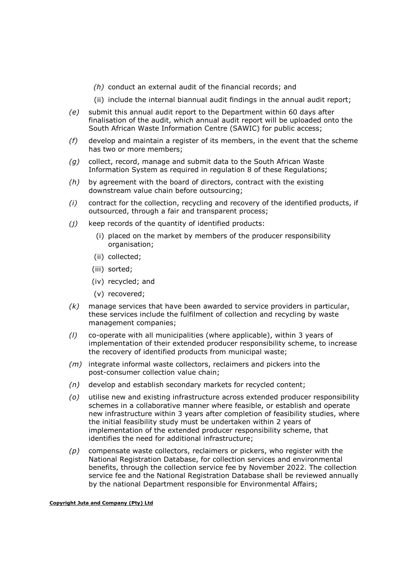- (h) conduct an external audit of the financial records; and
- (ii) include the internal biannual audit findings in the annual audit report;
- (e) submit this annual audit report to the Department within 60 days after finalisation of the audit, which annual audit report will be uploaded onto the South African Waste Information Centre (SAWIC) for public access;
- $(f)$  develop and maintain a register of its members, in the event that the scheme has two or more members;
- $(q)$  collect, record, manage and submit data to the South African Waste Information System as required in regulation 8 of these Regulations;
- $(h)$  by agreement with the board of directors, contract with the existing downstream value chain before outsourcing;
- (i) contract for the collection, recycling and recovery of the identified products, if outsourced, through a fair and transparent process;
- $(i)$  keep records of the quantity of identified products:
	- (i) placed on the market by members of the producer responsibility organisation;
	- (ii) collected;
	- (iii) sorted;
	- (iv) recycled; and
	- (v) recovered;
- $(k)$  manage services that have been awarded to service providers in particular, these services include the fulfilment of collection and recycling by waste management companies;
- (l) co-operate with all municipalities (where applicable), within 3 years of implementation of their extended producer responsibility scheme, to increase the recovery of identified products from municipal waste;
- (m) integrate informal waste collectors, reclaimers and pickers into the post-consumer collection value chain;
- $(n)$  develop and establish secondary markets for recycled content;
- (o) utilise new and existing infrastructure across extended producer responsibility schemes in a collaborative manner where feasible, or establish and operate new infrastructure within 3 years after completion of feasibility studies, where the initial feasibility study must be undertaken within 2 years of implementation of the extended producer responsibility scheme, that identifies the need for additional infrastructure;
- $(p)$  compensate waste collectors, reclaimers or pickers, who register with the National Registration Database, for collection services and environmental benefits, through the collection service fee by November 2022. The collection service fee and the National Registration Database shall be reviewed annually by the national Department responsible for Environmental Affairs;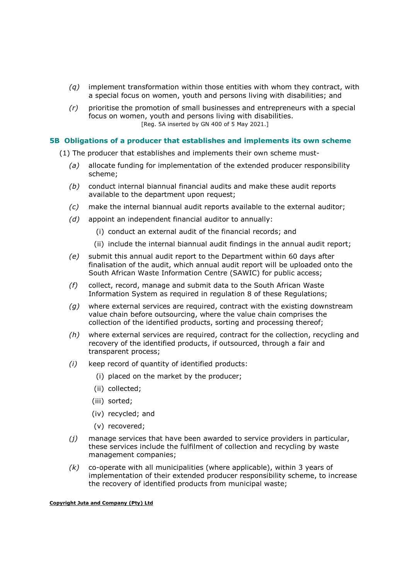- $(q)$  implement transformation within those entities with whom they contract, with a special focus on women, youth and persons living with disabilities; and
- $(r)$  prioritise the promotion of small businesses and entrepreneurs with a special focus on women, youth and persons living with disabilities. [Reg. 5A inserted by GN 400 of 5 May 2021.]

### 5B Obligations of a producer that establishes and implements its own scheme

- (1) The producer that establishes and implements their own scheme must-
	- (a) allocate funding for implementation of the extended producer responsibility scheme;
	- (b) conduct internal biannual financial audits and make these audit reports available to the department upon request;
	- (c) make the internal biannual audit reports available to the external auditor;
	- (d) appoint an independent financial auditor to annually:
		- (i) conduct an external audit of the financial records; and
		- (ii) include the internal biannual audit findings in the annual audit report;
	- (e) submit this annual audit report to the Department within 60 days after finalisation of the audit, which annual audit report will be uploaded onto the South African Waste Information Centre (SAWIC) for public access;
	- (f) collect, record, manage and submit data to the South African Waste Information System as required in regulation 8 of these Regulations;
	- $(q)$  where external services are required, contract with the existing downstream value chain before outsourcing, where the value chain comprises the collection of the identified products, sorting and processing thereof;
	- (h) where external services are required, contract for the collection, recycling and recovery of the identified products, if outsourced, through a fair and transparent process;
	- (i) keep record of quantity of identified products:
		- (i) placed on the market by the producer;
		- (ii) collected;
		- (iii) sorted;
		- (iv) recycled; and
		- (v) recovered;
	- $(i)$  manage services that have been awarded to service providers in particular, these services include the fulfilment of collection and recycling by waste management companies;
	- $(k)$  co-operate with all municipalities (where applicable), within 3 years of implementation of their extended producer responsibility scheme, to increase the recovery of identified products from municipal waste;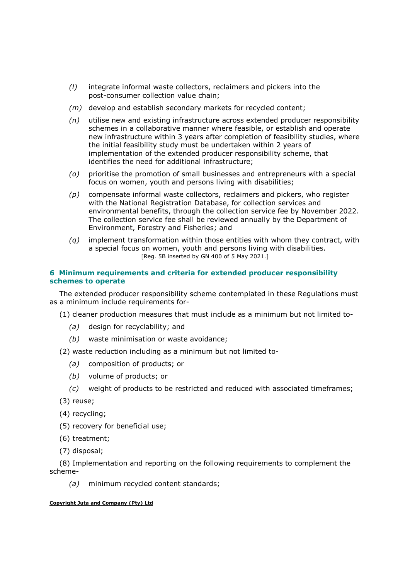- (l) integrate informal waste collectors, reclaimers and pickers into the post-consumer collection value chain;
- $(m)$  develop and establish secondary markets for recycled content;
- $(n)$  utilise new and existing infrastructure across extended producer responsibility schemes in a collaborative manner where feasible, or establish and operate new infrastructure within 3 years after completion of feasibility studies, where the initial feasibility study must be undertaken within 2 years of implementation of the extended producer responsibility scheme, that identifies the need for additional infrastructure;
- (o) prioritise the promotion of small businesses and entrepreneurs with a special focus on women, youth and persons living with disabilities;
- $(p)$  compensate informal waste collectors, reclaimers and pickers, who register with the National Registration Database, for collection services and environmental benefits, through the collection service fee by November 2022. The collection service fee shall be reviewed annually by the Department of Environment, Forestry and Fisheries; and
- $(q)$  implement transformation within those entities with whom they contract, with a special focus on women, youth and persons living with disabilities. [Reg. 5B inserted by GN 400 of 5 May 2021.]

# 6 Minimum requirements and criteria for extended producer responsibility schemes to operate

The extended producer responsibility scheme contemplated in these Regulations must as a minimum include requirements for-

(1) cleaner production measures that must include as a minimum but not limited to-

- (a) design for recyclability; and
- (b) waste minimisation or waste avoidance;

(2) waste reduction including as a minimum but not limited to-

- (a) composition of products; or
- (b) volume of products; or
- (c) weight of products to be restricted and reduced with associated timeframes;
- (3) reuse;
- (4) recycling;
- (5) recovery for beneficial use;
- (6) treatment;
- (7) disposal;

(8) Implementation and reporting on the following requirements to complement the scheme-

(a) minimum recycled content standards;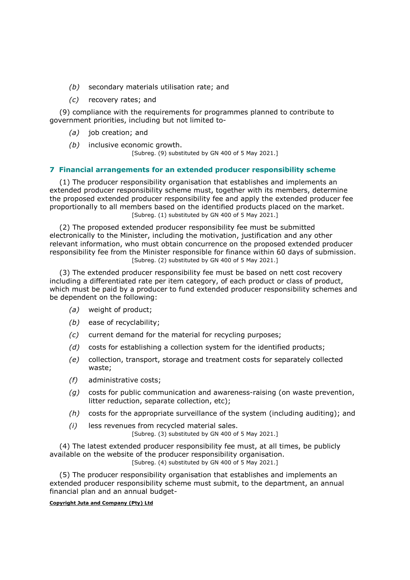- (b) secondary materials utilisation rate; and
- (c) recovery rates; and

(9) compliance with the requirements for programmes planned to contribute to government priorities, including but not limited to-

- (a) job creation; and
- (b) inclusive economic growth.

[Subreg. (9) substituted by GN 400 of 5 May 2021.]

## 7 Financial arrangements for an extended producer responsibility scheme

(1) The producer responsibility organisation that establishes and implements an extended producer responsibility scheme must, together with its members, determine the proposed extended producer responsibility fee and apply the extended producer fee proportionally to all members based on the identified products placed on the market. [Subreg. (1) substituted by GN 400 of 5 May 2021.]

(2) The proposed extended producer responsibility fee must be submitted electronically to the Minister, including the motivation, justification and any other relevant information, who must obtain concurrence on the proposed extended producer responsibility fee from the Minister responsible for finance within 60 days of submission. [Subreg. (2) substituted by GN 400 of 5 May 2021.]

(3) The extended producer responsibility fee must be based on nett cost recovery including a differentiated rate per item category, of each product or class of product, which must be paid by a producer to fund extended producer responsibility schemes and be dependent on the following:

- (a) weight of product;
- (b) ease of recyclability;
- (c) current demand for the material for recycling purposes;
- $(d)$  costs for establishing a collection system for the identified products;
- (e) collection, transport, storage and treatment costs for separately collected waste;
- (f) administrative costs;
- $(q)$  costs for public communication and awareness-raising (on waste prevention, litter reduction, separate collection, etc);
- $(h)$  costs for the appropriate surveillance of the system (including auditing); and
- (i) less revenues from recycled material sales. [Subreg. (3) substituted by GN 400 of 5 May 2021.]

(4) The latest extended producer responsibility fee must, at all times, be publicly available on the website of the producer responsibility organisation. [Subreg. (4) substituted by GN 400 of 5 May 2021.]

(5) The producer responsibility organisation that establishes and implements an extended producer responsibility scheme must submit, to the department, an annual financial plan and an annual budget-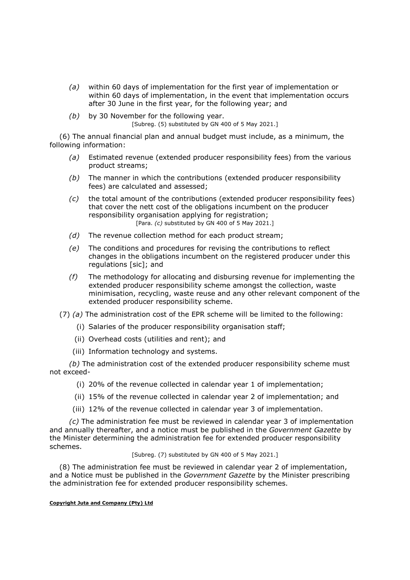- (a) within 60 days of implementation for the first year of implementation or within 60 days of implementation, in the event that implementation occurs after 30 June in the first year, for the following year; and
- $(b)$  by 30 November for the following year. [Subreg. (5) substituted by GN 400 of 5 May 2021.]

(6) The annual financial plan and annual budget must include, as a minimum, the following information:

- (a) Estimated revenue (extended producer responsibility fees) from the various product streams;
- $(b)$  The manner in which the contributions (extended producer responsibility fees) are calculated and assessed;
- $(c)$  the total amount of the contributions (extended producer responsibility fees) that cover the nett cost of the obligations incumbent on the producer responsibility organisation applying for registration; [Para.  $(c)$  substituted by GN 400 of 5 May 2021.]
- $(d)$  The revenue collection method for each product stream;
- (e) The conditions and procedures for revising the contributions to reflect changes in the obligations incumbent on the registered producer under this regulations [sic]; and
- $(f)$  The methodology for allocating and disbursing revenue for implementing the extended producer responsibility scheme amongst the collection, waste minimisation, recycling, waste reuse and any other relevant component of the extended producer responsibility scheme.

## (7) (a) The administration cost of the EPR scheme will be limited to the following:

- (i) Salaries of the producer responsibility organisation staff;
- (ii) Overhead costs (utilities and rent); and
- (iii) Information technology and systems.

(b) The administration cost of the extended producer responsibility scheme must not exceed-

- (i) 20% of the revenue collected in calendar year 1 of implementation;
- (ii) 15% of the revenue collected in calendar year 2 of implementation; and
- (iii) 12% of the revenue collected in calendar year 3 of implementation.

(c) The administration fee must be reviewed in calendar year 3 of implementation and annually thereafter, and a notice must be published in the Government Gazette by the Minister determining the administration fee for extended producer responsibility schemes.

[Subreg. (7) substituted by GN 400 of 5 May 2021.]

(8) The administration fee must be reviewed in calendar year 2 of implementation, and a Notice must be published in the Government Gazette by the Minister prescribing the administration fee for extended producer responsibility schemes.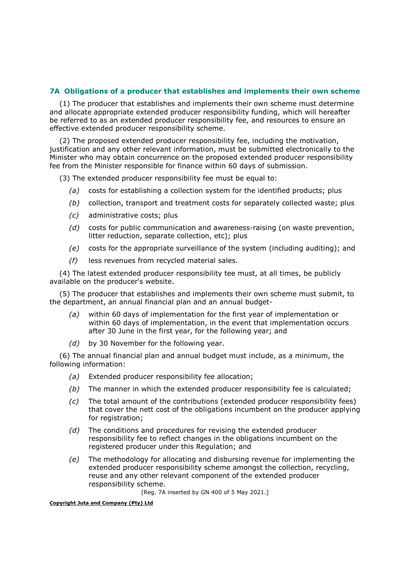# 7A Obligations of a producer that establishes and implements their own scheme

(1) The producer that establishes and implements their own scheme must determine and allocate appropriate extended producer responsibility funding, which will hereafter be referred to as an extended producer responsibility fee, and resources to ensure an effective extended producer responsibility scheme.

(2) The proposed extended producer responsibility fee, including the motivation, justification and any other relevant information, must be submitted electronically to the Minister who may obtain concurrence on the proposed extended producer responsibility fee from the Minister responsible for finance within 60 days of submission.

(3) The extended producer responsibility fee must be equal to:

- (a) costs for establishing a collection system for the identified products; plus
- (b) collection, transport and treatment costs for separately collected waste; plus
- (c) administrative costs; plus
- (d) costs for public communication and awareness-raising (on waste prevention, litter reduction, separate collection, etc); plus
- $(e)$  costs for the appropriate surveillance of the system (including auditing); and
- (f) less revenues from recycled material sales.

(4) The latest extended producer responsibility tee must, at all times, be publicly available on the producer's website.

(5) The producer that establishes and implements their own scheme must submit, to the department, an annual financial plan and an annual budget-

- (a) within 60 days of implementation for the first year of implementation or within 60 days of implementation, in the event that implementation occurs after 30 June in the first year, for the following year; and
- $(d)$  by 30 November for the following year.

(6) The annual financial plan and annual budget must include, as a minimum, the following information:

- (a) Extended producer responsibility fee allocation;
- $(b)$  The manner in which the extended producer responsibility fee is calculated:
- (c) The total amount of the contributions (extended producer responsibility fees) that cover the nett cost of the obligations incumbent on the producer applying for registration;
- $(d)$  The conditions and procedures for revising the extended producer responsibility fee to reflect changes in the obligations incumbent on the registered producer under this Regulation; and
- (e) The methodology for allocating and disbursing revenue for implementing the extended producer responsibility scheme amongst the collection, recycling, reuse and any other relevant component of the extended producer responsibility scheme.

[Reg. 7A inserted by GN 400 of 5 May 2021.]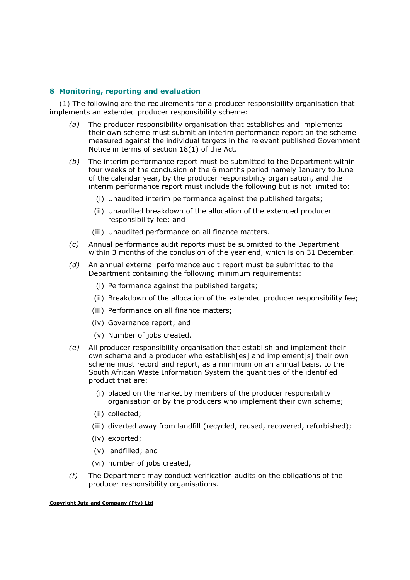# 8 Monitoring, reporting and evaluation

(1) The following are the requirements for a producer responsibility organisation that implements an extended producer responsibility scheme:

- (a) The producer responsibility organisation that establishes and implements their own scheme must submit an interim performance report on the scheme measured against the individual targets in the relevant published Government Notice in terms of section 18(1) of the Act.
- $(b)$  The interim performance report must be submitted to the Department within four weeks of the conclusion of the 6 months period namely January to June of the calendar year, by the producer responsibility organisation, and the interim performance report must include the following but is not limited to:
	- (i) Unaudited interim performance against the published targets;
	- (ii) Unaudited breakdown of the allocation of the extended producer responsibility fee; and
	- (iii) Unaudited performance on all finance matters.
- (c) Annual performance audit reports must be submitted to the Department within 3 months of the conclusion of the year end, which is on 31 December.
- (d) An annual external performance audit report must be submitted to the Department containing the following minimum requirements:
	- (i) Performance against the published targets;
	- (ii) Breakdown of the allocation of the extended producer responsibility fee;
	- (iii) Performance on all finance matters;
	- (iv) Governance report; and
	- (v) Number of jobs created.
- (e) All producer responsibility organisation that establish and implement their own scheme and a producer who establish[es] and implement[s] their own scheme must record and report, as a minimum on an annual basis, to the South African Waste Information System the quantities of the identified product that are:
	- (i) placed on the market by members of the producer responsibility organisation or by the producers who implement their own scheme;
	- (ii) collected;
	- (iii) diverted away from landfill (recycled, reused, recovered, refurbished);
	- (iv) exported;
	- (v) landfilled; and
	- (vi) number of jobs created,
- $(f)$  The Department may conduct verification audits on the obligations of the producer responsibility organisations.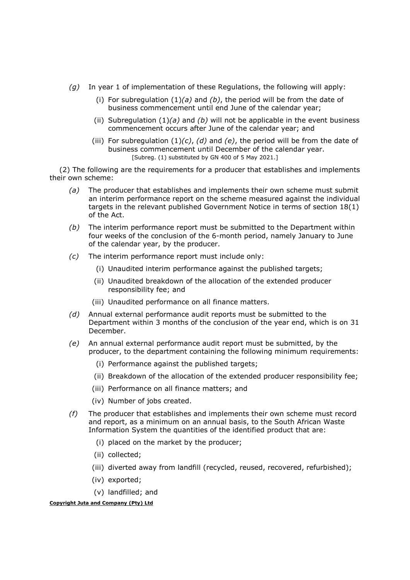- (q) In year 1 of implementation of these Regulations, the following will apply:
	- (i) For subregulation  $(1)(a)$  and  $(b)$ , the period will be from the date of business commencement until end June of the calendar year;
	- (ii) Subregulation (1)(a) and (b) will not be applicable in the event business commencement occurs after June of the calendar year; and
	- (iii) For subregulation  $(1)(c)$ ,  $(d)$  and  $(e)$ , the period will be from the date of business commencement until December of the calendar year. [Subreg. (1) substituted by GN 400 of 5 May 2021.]

(2) The following are the requirements for a producer that establishes and implements their own scheme:

- (a) The producer that establishes and implements their own scheme must submit an interim performance report on the scheme measured against the individual targets in the relevant published Government Notice in terms of section 18(1) of the Act.
- $(b)$  The interim performance report must be submitted to the Department within four weeks of the conclusion of the 6-month period, namely January to June of the calendar year, by the producer.
- (c) The interim performance report must include only:
	- (i) Unaudited interim performance against the published targets;
	- (ii) Unaudited breakdown of the allocation of the extended producer responsibility fee; and
	- (iii) Unaudited performance on all finance matters.
- (d) Annual external performance audit reports must be submitted to the Department within 3 months of the conclusion of the year end, which is on 31 December.
- (e) An annual external performance audit report must be submitted, by the producer, to the department containing the following minimum requirements:
	- (i) Performance against the published targets;
	- (ii) Breakdown of the allocation of the extended producer responsibility fee;
	- (iii) Performance on all finance matters; and
	- (iv) Number of jobs created.
- (f) The producer that establishes and implements their own scheme must record and report, as a minimum on an annual basis, to the South African Waste Information System the quantities of the identified product that are:
	- (i) placed on the market by the producer;
	- (ii) collected;
	- (iii) diverted away from landfill (recycled, reused, recovered, refurbished);
	- (iv) exported;
	- (v) landfilled; and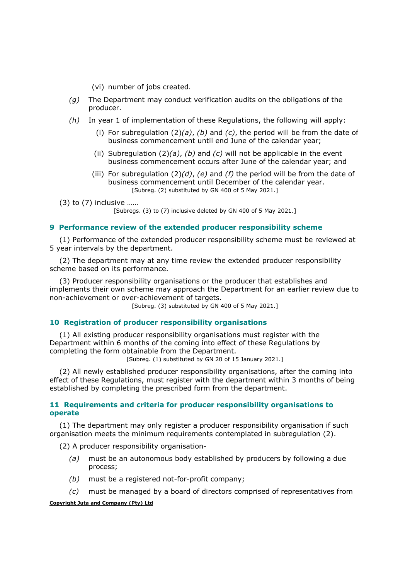- (vi) number of jobs created.
- $(q)$  The Department may conduct verification audits on the obligations of the producer.
- $(h)$  In year 1 of implementation of these Regulations, the following will apply:
	- (i) For subregulation  $(2)(a)$ ,  $(b)$  and  $(c)$ , the period will be from the date of business commencement until end June of the calendar year;
	- (ii) Subregulation  $(2)(a)$ ,  $(b)$  and  $(c)$  will not be applicable in the event business commencement occurs after June of the calendar year; and
	- (iii) For subregulation  $(2)(d)$ , (e) and (f) the period will be from the date of business commencement until December of the calendar year. [Subreg. (2) substituted by GN 400 of 5 May 2021.]

(3) to (7) inclusive ……

[Subregs. (3) to (7) inclusive deleted by GN 400 of 5 May 2021.]

## 9 Performance review of the extended producer responsibility scheme

(1) Performance of the extended producer responsibility scheme must be reviewed at 5 year intervals by the department.

(2) The department may at any time review the extended producer responsibility scheme based on its performance.

(3) Producer responsibility organisations or the producer that establishes and implements their own scheme may approach the Department for an earlier review due to non-achievement or over-achievement of targets.

[Subreg. (3) substituted by GN 400 of 5 May 2021.]

# 10 Registration of producer responsibility organisations

(1) All existing producer responsibility organisations must register with the Department within 6 months of the coming into effect of these Regulations by completing the form obtainable from the Department. [Subreg. (1) substituted by GN 20 of 15 January 2021.]

(2) All newly established producer responsibility organisations, after the coming into effect of these Regulations, must register with the department within 3 months of being established by completing the prescribed form from the department.

# 11 Requirements and criteria for producer responsibility organisations to operate

(1) The department may only register a producer responsibility organisation if such organisation meets the minimum requirements contemplated in subregulation (2).

(2) A producer responsibility organisation-

- (a) must be an autonomous body established by producers by following a due process;
- (b) must be a registered not-for-profit company;
- $(c)$  must be managed by a board of directors comprised of representatives from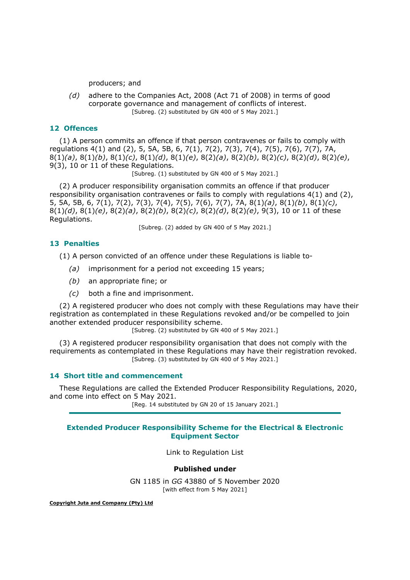producers; and

 (d) adhere to the Companies Act, 2008 (Act 71 of 2008) in terms of good corporate governance and management of conflicts of interest. [Subreg. (2) substituted by GN 400 of 5 May 2021.]

# 12 Offences

(1) A person commits an offence if that person contravenes or fails to comply with regulations 4(1) and (2), 5, 5A, 5B, 6, 7(1), 7(2), 7(3), 7(4), 7(5), 7(6), 7(7), 7A,  $8(1)(a)$ ,  $8(1)(b)$ ,  $8(1)(c)$ ,  $8(1)(d)$ ,  $8(1)(e)$ ,  $8(2)(a)$ ,  $8(2)(b)$ ,  $8(2)(c)$ ,  $8(2)(d)$ ,  $8(2)(e)$ , 9(3), 10 or 11 of these Regulations.

[Subreg. (1) substituted by GN 400 of 5 May 2021.]

(2) A producer responsibility organisation commits an offence if that producer responsibility organisation contravenes or fails to comply with regulations 4(1) and (2), 5, 5A, 5B, 6, 7(1), 7(2), 7(3), 7(4), 7(5), 7(6), 7(7), 7A,  $8(1)(a)$ ,  $8(1)(b)$ ,  $8(1)(c)$ ,  $8(1)(d)$ ,  $8(1)(e)$ ,  $8(2)(a)$ ,  $8(2)(b)$ ,  $8(2)(c)$ ,  $8(2)(d)$ ,  $8(2)(e)$ ,  $9(3)$ , 10 or 11 of these Regulations.

[Subreg. (2) added by GN 400 of 5 May 2021.]

## 13 Penalties

(1) A person convicted of an offence under these Regulations is liable to-

- (a) imprisonment for a period not exceeding 15 years;
- (b) an appropriate fine; or
- (c) both a fine and imprisonment.

(2) A registered producer who does not comply with these Regulations may have their registration as contemplated in these Regulations revoked and/or be compelled to join another extended producer responsibility scheme.

[Subreg. (2) substituted by GN 400 of 5 May 2021.]

(3) A registered producer responsibility organisation that does not comply with the requirements as contemplated in these Regulations may have their registration revoked. [Subreg. (3) substituted by GN 400 of 5 May 2021.]

# 14 Short title and commencement

These Regulations are called the Extended Producer Responsibility Regulations, 2020, and come into effect on 5 May 2021.

[Reg. 14 substituted by GN 20 of 15 January 2021.]

## Extended Producer Responsibility Scheme for the Electrical & Electronic Equipment Sector

Link to Regulation List

# Published under

GN 1185 in GG 43880 of 5 November 2020 [with effect from 5 May 2021]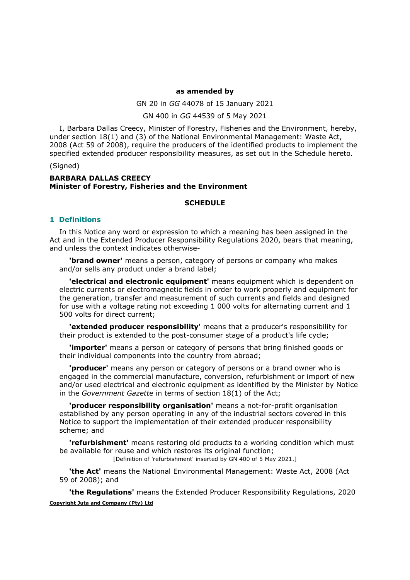#### as amended by

GN 20 in GG 44078 of 15 January 2021

GN 400 in GG 44539 of 5 May 2021

I, Barbara Dallas Creecy, Minister of Forestry, Fisheries and the Environment, hereby, under section 18(1) and (3) of the National Environmental Management: Waste Act, 2008 (Act 59 of 2008), require the producers of the identified products to implement the specified extended producer responsibility measures, as set out in the Schedule hereto.

(Signed)

## BARBARA DALLAS CREECY Minister of Forestry, Fisheries and the Environment

#### **SCHEDULE**

#### 1 Definitions

In this Notice any word or expression to which a meaning has been assigned in the Act and in the Extended Producer Responsibility Regulations 2020, bears that meaning, and unless the context indicates otherwise-

**'brand owner'** means a person, category of persons or company who makes and/or sells any product under a brand label;

'electrical and electronic equipment' means equipment which is dependent on electric currents or electromagnetic fields in order to work properly and equipment for the generation, transfer and measurement of such currents and fields and designed for use with a voltage rating not exceeding 1 000 volts for alternating current and 1 500 volts for direct current;

'extended producer responsibility' means that a producer's responsibility for their product is extended to the post-consumer stage of a product's life cycle;

**'importer'** means a person or category of persons that bring finished goods or their individual components into the country from abroad;

'producer' means any person or category of persons or a brand owner who is engaged in the commercial manufacture, conversion, refurbishment or import of new and/or used electrical and electronic equipment as identified by the Minister by Notice in the Government Gazette in terms of section 18(1) of the Act;

'producer responsibility organisation' means a not-for-profit organisation established by any person operating in any of the industrial sectors covered in this Notice to support the implementation of their extended producer responsibility scheme; and

**'refurbishment'** means restoring old products to a working condition which must be available for reuse and which restores its original function;

[Definition of 'refurbishment' inserted by GN 400 of 5 May 2021.]

'the Act' means the National Environmental Management: Waste Act, 2008 (Act 59 of 2008); and

Copyright Juta and Company (Pty) Ltd 'the Regulations' means the Extended Producer Responsibility Regulations, 2020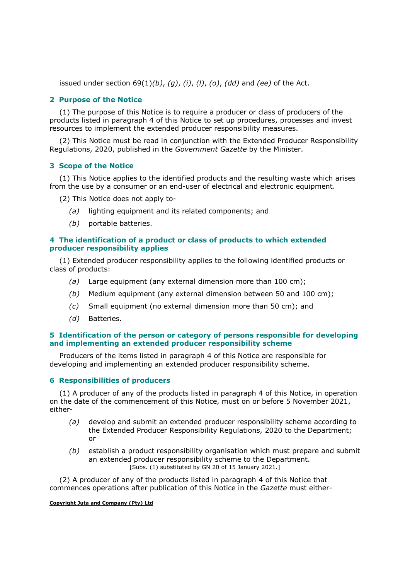issued under section  $69(1)(b)$ ,  $(q)$ ,  $(i)$ ,  $(l)$ ,  $(o)$ ,  $(dd)$  and (ee) of the Act.

# 2 Purpose of the Notice

(1) The purpose of this Notice is to require a producer or class of producers of the products listed in paragraph 4 of this Notice to set up procedures, processes and invest resources to implement the extended producer responsibility measures.

(2) This Notice must be read in conjunction with the Extended Producer Responsibility Regulations, 2020, published in the Government Gazette by the Minister.

### 3 Scope of the Notice

(1) This Notice applies to the identified products and the resulting waste which arises from the use by a consumer or an end-user of electrical and electronic equipment.

(2) This Notice does not apply to-

- (a) lighting equipment and its related components; and
- (b) portable batteries.

# 4 The identification of a product or class of products to which extended producer responsibility applies

(1) Extended producer responsibility applies to the following identified products or class of products:

- (a) Large equipment (any external dimension more than  $100 \text{ cm}$ );
- (b) Medium equipment (any external dimension between 50 and 100 cm);
- (c) Small equipment (no external dimension more than 50 cm); and
- (d) Batteries.

# 5 Identification of the person or category of persons responsible for developing and implementing an extended producer responsibility scheme

Producers of the items listed in paragraph 4 of this Notice are responsible for developing and implementing an extended producer responsibility scheme.

### 6 Responsibilities of producers

(1) A producer of any of the products listed in paragraph 4 of this Notice, in operation on the date of the commencement of this Notice, must on or before 5 November 2021, either-

- (a) develop and submit an extended producer responsibility scheme according to the Extended Producer Responsibility Regulations, 2020 to the Department; or
- $(b)$  establish a product responsibility organisation which must prepare and submit an extended producer responsibility scheme to the Department. [Subs. (1) substituted by GN 20 of 15 January 2021.]

(2) A producer of any of the products listed in paragraph 4 of this Notice that commences operations after publication of this Notice in the Gazette must either-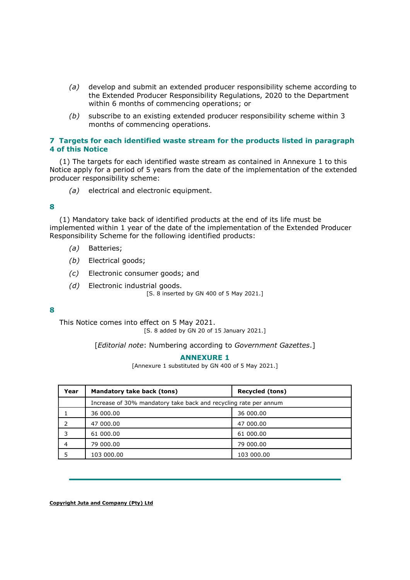- (a) develop and submit an extended producer responsibility scheme according to the Extended Producer Responsibility Regulations, 2020 to the Department within 6 months of commencing operations; or
- (b) subscribe to an existing extended producer responsibility scheme within 3 months of commencing operations.

## 7 Targets for each identified waste stream for the products listed in paragraph 4 of this Notice

(1) The targets for each identified waste stream as contained in Annexure 1 to this Notice apply for a period of 5 years from the date of the implementation of the extended producer responsibility scheme:

(a) electrical and electronic equipment.

## 8

(1) Mandatory take back of identified products at the end of its life must be implemented within 1 year of the date of the implementation of the Extended Producer Responsibility Scheme for the following identified products:

- (a) Batteries;
- (b) Electrical goods:
- (c) Electronic consumer goods; and
- (d) Electronic industrial goods.

[S. 8 inserted by GN 400 of 5 May 2021.]

### 8

This Notice comes into effect on 5 May 2021. [S. 8 added by GN 20 of 15 January 2021.]

[Editorial note: Numbering according to Government Gazettes.]

### ANNEXURE 1

[Annexure 1 substituted by GN 400 of 5 May 2021.]

| Year | Mandatory take back (tons)                                       | <b>Recycled (tons)</b> |  |  |  |  |  |  |  |  |
|------|------------------------------------------------------------------|------------------------|--|--|--|--|--|--|--|--|
|      | Increase of 30% mandatory take back and recycling rate per annum |                        |  |  |  |  |  |  |  |  |
|      | 36 000,00                                                        | 36 000,00              |  |  |  |  |  |  |  |  |
|      | 47 000,00                                                        | 47 000,00              |  |  |  |  |  |  |  |  |
|      | 61 000.00                                                        | 61 000.00              |  |  |  |  |  |  |  |  |
|      | 79 000,00                                                        | 79 000.00              |  |  |  |  |  |  |  |  |
|      | 103 000.00                                                       | 103 000.00             |  |  |  |  |  |  |  |  |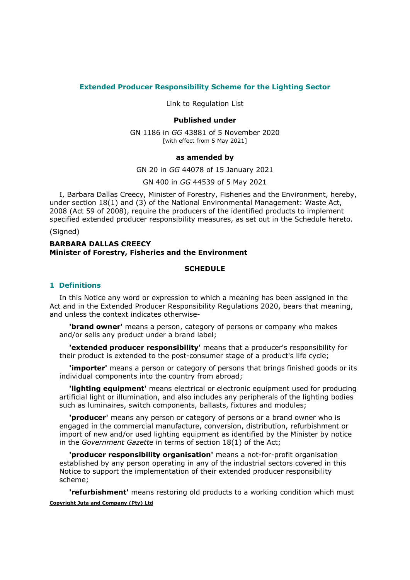## Extended Producer Responsibility Scheme for the Lighting Sector

Link to Regulation List

## Published under

GN 1186 in GG 43881 of 5 November 2020 [with effect from 5 May 2021]

#### as amended by

GN 20 in GG 44078 of 15 January 2021

GN 400 in GG 44539 of 5 May 2021

I, Barbara Dallas Creecy, Minister of Forestry, Fisheries and the Environment, hereby, under section 18(1) and (3) of the National Environmental Management: Waste Act, 2008 (Act 59 of 2008), require the producers of the identified products to implement specified extended producer responsibility measures, as set out in the Schedule hereto.

#### (Signed)

## BARBARA DALLAS CREECY Minister of Forestry, Fisheries and the Environment

#### **SCHEDULE**

## 1 Definitions

In this Notice any word or expression to which a meaning has been assigned in the Act and in the Extended Producer Responsibility Regulations 2020, bears that meaning, and unless the context indicates otherwise-

'brand owner' means a person, category of persons or company who makes and/or sells any product under a brand label;

'extended producer responsibility' means that a producer's responsibility for their product is extended to the post-consumer stage of a product's life cycle;

**'importer'** means a person or category of persons that brings finished goods or its individual components into the country from abroad;

**'lighting equipment'** means electrical or electronic equipment used for producing artificial light or illumination, and also includes any peripherals of the lighting bodies such as luminaires, switch components, ballasts, fixtures and modules;

'producer' means any person or category of persons or a brand owner who is engaged in the commercial manufacture, conversion, distribution, refurbishment or import of new and/or used lighting equipment as identified by the Minister by notice in the Government Gazette in terms of section 18(1) of the Act;

'producer responsibility organisation' means a not-for-profit organisation established by any person operating in any of the industrial sectors covered in this Notice to support the implementation of their extended producer responsibility scheme;

Copyright Juta and Company (Pty) Ltd 'refurbishment' means restoring old products to a working condition which must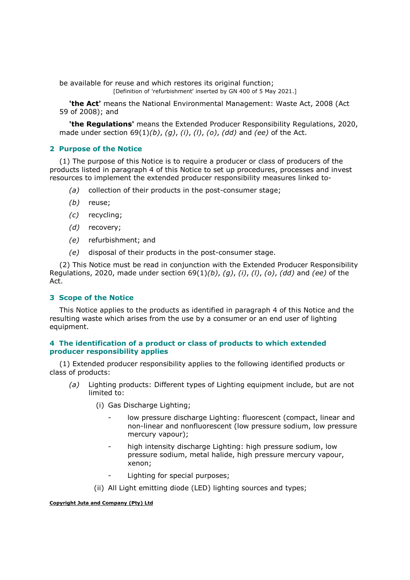be available for reuse and which restores its original function;

[Definition of 'refurbishment' inserted by GN 400 of 5 May 2021.]

'the Act' means the National Environmental Management: Waste Act, 2008 (Act 59 of 2008); and

**the Regulations'** means the Extended Producer Responsibility Regulations, 2020, made under section  $69(1)(b)$ , (g), (i), (l), (o), (dd) and (ee) of the Act.

# 2 Purpose of the Notice

(1) The purpose of this Notice is to require a producer or class of producers of the products listed in paragraph 4 of this Notice to set up procedures, processes and invest resources to implement the extended producer responsibility measures linked to-

- (a) collection of their products in the post-consumer stage;
- (b) reuse;
- (c) recycling;
- (d) recovery;
- (e) refurbishment; and
- (e) disposal of their products in the post-consumer stage.

(2) This Notice must be read in conjunction with the Extended Producer Responsibility Regulations, 2020, made under section  $69(1)(b)$ ,  $(g)$ ,  $(i)$ ,  $(l)$ ,  $(o)$ ,  $(dd)$  and  $(ee)$  of the Act.

# 3 Scope of the Notice

This Notice applies to the products as identified in paragraph 4 of this Notice and the resulting waste which arises from the use by a consumer or an end user of lighting equipment.

# 4 The identification of a product or class of products to which extended producer responsibility applies

(1) Extended producer responsibility applies to the following identified products or class of products:

- (a) Lighting products: Different types of Lighting equipment include, but are not limited to:
	- (i) Gas Discharge Lighting;
		- low pressure discharge Lighting: fluorescent (compact, linear and non-linear and nonfluorescent (low pressure sodium, low pressure mercury vapour);
		- high intensity discharge Lighting: high pressure sodium, low pressure sodium, metal halide, high pressure mercury vapour, xenon;
		- Lighting for special purposes;
	- (ii) All Light emitting diode (LED) lighting sources and types;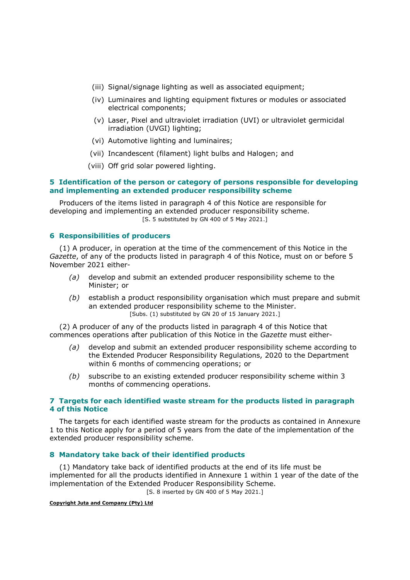- (iii) Signal/signage lighting as well as associated equipment;
- (iv) Luminaires and lighting equipment fixtures or modules or associated electrical components;
- (v) Laser, Pixel and ultraviolet irradiation (UVI) or ultraviolet germicidal irradiation (UVGI) lighting;
- (vi) Automotive lighting and luminaires;
- (vii) Incandescent (filament) light bulbs and Halogen; and
- (viii) Off grid solar powered lighting.

## 5 Identification of the person or category of persons responsible for developing and implementing an extended producer responsibility scheme

Producers of the items listed in paragraph 4 of this Notice are responsible for developing and implementing an extended producer responsibility scheme. [S. 5 substituted by GN 400 of 5 May 2021.]

## 6 Responsibilities of producers

(1) A producer, in operation at the time of the commencement of this Notice in the Gazette, of any of the products listed in paragraph 4 of this Notice, must on or before 5 November 2021 either-

- (a) develop and submit an extended producer responsibility scheme to the Minister; or
- $(b)$  establish a product responsibility organisation which must prepare and submit an extended producer responsibility scheme to the Minister. [Subs. (1) substituted by GN 20 of 15 January 2021.]

(2) A producer of any of the products listed in paragraph 4 of this Notice that commences operations after publication of this Notice in the Gazette must either-

- (a) develop and submit an extended producer responsibility scheme according to the Extended Producer Responsibility Regulations, 2020 to the Department within 6 months of commencing operations; or
- (b) subscribe to an existing extended producer responsibility scheme within 3 months of commencing operations.

## 7 Targets for each identified waste stream for the products listed in paragraph 4 of this Notice

The targets for each identified waste stream for the products as contained in Annexure 1 to this Notice apply for a period of 5 years from the date of the implementation of the extended producer responsibility scheme.

### 8 Mandatory take back of their identified products

(1) Mandatory take back of identified products at the end of its life must be implemented for all the products identified in Annexure 1 within 1 year of the date of the implementation of the Extended Producer Responsibility Scheme. [S. 8 inserted by GN 400 of 5 May 2021.]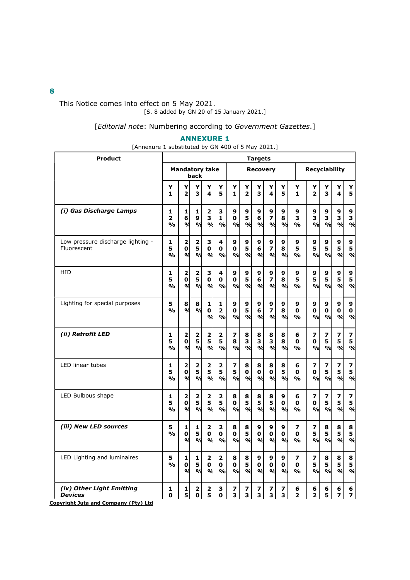This Notice comes into effect on 5 May 2021. [S. 8 added by GN 20 of 15 January 2021.]

[Editorial note: Numbering according to Government Gazettes.]

# ANNEXURE 1

[Annexure 1 substituted by GN 400 of 5 May 2021.]

| <b>Product</b>                                   | <b>Targets</b>          |                                              |                                   |                                                          |                          |                                    |                                     |                                    |                                               |                                      |                |                                     |                                   |                                    |                          |
|--------------------------------------------------|-------------------------|----------------------------------------------|-----------------------------------|----------------------------------------------------------|--------------------------|------------------------------------|-------------------------------------|------------------------------------|-----------------------------------------------|--------------------------------------|----------------|-------------------------------------|-----------------------------------|------------------------------------|--------------------------|
|                                                  |                         | <b>Mandatory take</b>                        | back                              |                                                          |                          |                                    |                                     | <b>Recoverv</b>                    |                                               |                                      |                | <b>Recyclability</b>                |                                   |                                    |                          |
|                                                  | Y                       | Y                                            | Y                                 | Y                                                        | Y                        | Y                                  | Υ                                   | Υ                                  | Y                                             | Υ                                    | Y              | Y                                   | Y                                 | Y                                  | Y                        |
|                                                  | 1                       | $\overline{2}$                               | 3                                 | 4                                                        | 5                        | 1                                  | $\overline{2}$                      | 3                                  | 4                                             | 5                                    | 1              | $\overline{2}$                      | 3                                 | 4                                  | 5                        |
| (i) Gas Discharge Lamps                          | 1                       | $\mathbf{1}$                                 | $\mathbf{1}$                      | $\overline{\mathbf{2}}$                                  | 3                        | 9                                  | 9                                   | 9                                  | 9                                             | 9                                    | 9              | 9                                   | 9                                 | 9                                  | 9                        |
|                                                  | $\overline{2}$          | 6                                            | 9                                 | 3                                                        | 1                        | 0                                  | 5                                   | 6                                  | $\overline{\mathbf{z}}$                       | 8                                    | 3              | 3                                   | 3                                 | 3                                  | 3                        |
|                                                  | $\frac{0}{0}$           | $\mathbf{v}_0$                               | $\mathbf{Q}$                      | $\mathbf{a}$                                             | %                        | $\alpha$                           | $\alpha$                            | $\frac{9}{6}$                      | $\mathcal{O}/\mathcal{O}$                     | $\frac{0}{0}$                        | %              | $\alpha$                            | $\frac{9}{6}$                     | %                                  | $\mathbf{Q}$             |
| Low pressure discharge lighting -<br>Fluorescent | 1<br>5<br>$\frac{0}{0}$ | $\overline{\mathbf{2}}$<br>$\mathbf 0$<br>ο/ | $\mathbf 2$<br>5<br>%             | З<br>$\mathbf 0$<br>$\mathbf{O}/\mathbf{C}$              | 4<br>0<br>%              | 9<br>$\mathbf 0$<br>$\frac{9}{9}$  | 9<br>5<br>$\frac{9}{6}$             | 9<br>6<br>%                        | 9<br>$\overline{\mathbf{z}}$<br>$\frac{9}{4}$ | 9<br>8<br>$\mathcal{O}_{\mathbf{Q}}$ | 9<br>5<br>%    | 9<br>5<br>$\alpha$                  | 9<br>5<br>$\mathbf{v}_0$          | 9<br>5<br>$\mathbf{Q}_0$           | 9<br>5<br>$\mathbf{Q}_0$ |
| HID                                              | 1                       | $\overline{\mathbf{2}}$                      | $\overline{\mathbf{2}}$           | 3                                                        | 4                        | 9                                  | 9                                   | 9                                  | 9                                             | 9                                    | 9              | 9                                   | 9                                 | 9                                  | 9                        |
|                                                  | 5                       | O                                            | 5                                 | $\mathbf 0$                                              | 0                        | O                                  | 5                                   | 6                                  | $\overline{\mathbf{z}}$                       | 8                                    | 5              | 5                                   | 5                                 | 5                                  | 5                        |
|                                                  | $\frac{0}{0}$           | $\mathbf{Q}_0$                               | %                                 | %                                                        | %                        | %                                  | %                                   | %                                  | $\mathbf{v}_0$                                | $\alpha$                             | %              | $\mathbf{v}_0$                      | $\mathbf{v}_0$                    | %                                  | $\mathbf{p}$             |
| Lighting for special purposes                    | 5<br>$\frac{1}{2}$      | 8<br>o/                                      | 8<br>%                            | 1<br>$\mathbf 0$<br>$\mathbf{v}_0$                       | 1<br>$\overline{2}$<br>% | 9<br>$\mathbf{o}$<br>$\frac{9}{6}$ | 9<br>5<br>$\mathbf{p}_{\mathbf{q}}$ | 9<br>6<br>$\mathbf{v}_0$           | 9<br>7<br>$\mathbf{O}/\mathbf{G}$             | 9<br>8<br>$\frac{0}{0}$              | 9<br>0<br>%    | 9<br>0<br>$\mathcal{O}/\mathcal{O}$ | 9<br>0<br>$\frac{1}{2}$           | 9<br>$\mathbf 0$<br>$\mathbf{v}_0$ | 9<br>0<br>$\frac{9}{6}$  |
| (ii) Retrofit LED                                | 1                       | $\overline{\mathbf{2}}$                      | $\overline{\mathbf{2}}$           | $\mathbf 2$                                              | 2                        | 7                                  | 8                                   | 8                                  | 8                                             | 8                                    | 6              | 7                                   | 7                                 | 7                                  | 7                        |
|                                                  | 5                       | 0                                            | 5                                 | 5                                                        | 5                        | 8                                  | 3                                   | 3                                  | 3                                             | 8                                    | 0              | 0                                   | 5                                 | 5                                  | 5                        |
|                                                  | $\frac{0}{0}$           | $\mathbf{o}/\mathbf{d}$                      | $\mathbf{Q}_0$                    | $\mathbf{O}/\mathbf{C}$                                  | $\frac{1}{2}$            | $\frac{0}{0}$                      | %                                   | $\frac{9}{6}$                      | $\mathcal{O}/\mathcal{O}$                     | $\frac{0}{0}$                        | %              | $\alpha$                            | $\frac{1}{2}$                     | $\frac{9}{6}$                      | $\mathbf{O}/\mathbf{C}$  |
| <b>LED linear tubes</b>                          | 1                       | 2                                            | $\overline{\mathbf{2}}$           | $\overline{\mathbf{2}}$                                  | 2                        | $\overline{\mathbf{z}}$            | 8                                   | 8                                  | 8                                             | 8                                    | 6              | 7                                   | 7                                 | 7                                  | 7                        |
|                                                  | 5                       | 0                                            | 5                                 | 5                                                        | 5                        | 5                                  | 0                                   | $\mathbf{0}$                       | $\mathbf{0}$                                  | 5                                    | O              | 0                                   | 5                                 | 5                                  | 5                        |
|                                                  | $\mathbf{0}/\mathbf{0}$ | %                                            | %                                 | $\mathbf{v}_0$                                           | %                        | $\mathcal{O}_0$                    | $\frac{9}{6}$                       | $\mathbf{v}_0$                     | $\mathcal{O}_{\mathcal{O}}$                   | $\frac{0}{0}$                        | %              | $\alpha$                            | $\alpha$                          | %                                  | $\mathbf{O}/\mathbf{C}$  |
| LED Bulbous shape                                | 1                       | 2                                            | 2                                 | 2                                                        | 2                        | 8                                  | 8                                   | 8                                  | 8                                             | 9                                    | 6              | 7                                   | $\overline{\mathbf{z}}$           | $\overline{\phantom{a}}$           | 7                        |
|                                                  | 5                       | $\mathbf{0}$                                 | 5                                 | 5                                                        | 5                        | 0                                  | 5                                   | 5                                  | 5                                             | $\mathbf{o}$                         | 0              | 0                                   | 5                                 | 5                                  | 5                        |
|                                                  | O <sub>0</sub>          | $\mathbf{v}_0$                               | $\frac{9}{6}$                     | $\mathbf{Q}_0$                                           | $\frac{1}{2}$            | $\frac{9}{9}$                      | %                                   | $\alpha$                           | $\mathbf{O}/\mathbf{G}$                       | $\mathbf{O}/\mathbf{O}$              | $\mathbf{O}_0$ | $\mathbf{O}/\mathbf{G}$             | $\frac{9}{6}$                     | $\mathbf{v}_0$                     | $\mathbf{v}_0$           |
| (iii) New LED sources                            | 5.<br>$\frac{0}{0}$     | $\mathbf{1}$<br>O<br>ο/                      | 1<br>5<br>$\mathbf{v}_0$          | $\mathbf 2$<br>$\mathbf{0}$<br>$\mathbf{Q}_0$            | 2<br>0<br>%              | 8<br>0<br>$\alpha$                 | 8<br>5<br>$\alpha$                  | 9<br>$\mathbf{0}$<br>$\frac{9}{6}$ | 9<br>$\mathbf{0}$<br>$\mathbf{O}/\mathbf{G}$  | 9<br>$\mathbf{0}$<br>$\alpha$        | 7<br>O<br>%    | 7<br>5<br>$\mathbf{O}/\mathbf{G}$   | 8<br>5<br>$\frac{0}{0}$           | 8<br>5<br>O/d                      | 8<br>5<br>$\mathbf{Q}_0$ |
| LED Lighting and luminaires                      | 5<br>O <sub>0</sub>     | $\mathbf{1}$<br>0<br>$\mathbf{Q}/\mathbf{Q}$ | $\mathbf{1}$<br>5<br>$\mathbf{Q}$ | $\overline{\mathbf{2}}$<br>$\mathbf 0$<br>$\mathbf{Q}_0$ | 2<br>0<br>%              | 8<br>0<br>%                        | 8<br>5<br>%                         | 9<br>$\mathbf{0}$<br>%             | 9<br>$\mathbf{0}$<br>$\frac{9}{4}$            | 9<br>O<br>$\frac{0}{0}$              | 7<br>0<br>%    | 7<br>5<br>$\mathbf{O}/\mathbf{G}$   | 8<br>5<br>$\mathbf{O}/\mathbf{G}$ | 8<br>5<br>ο/ <sub>σ</sub>          | 8<br>5<br>$\frac{9}{6}$  |
| (iv) Other Light Emitting                        | 1                       | 1                                            | $\mathbf 2$                       | $\mathbf 2$                                              | 3                        | 7                                  | 7                                   | 7                                  | 7                                             | 7                                    | 6              | 6                                   | 6                                 | 6                                  | 6                        |
| <b>Devices</b>                                   | O                       | 5                                            | $\mathbf{0}$                      | 5                                                        | O                        | 3                                  | 3                                   | 3                                  | 3                                             | 3                                    | $\overline{2}$ | $\overline{\mathbf{2}}$             | 5                                 | 7                                  | 7                        |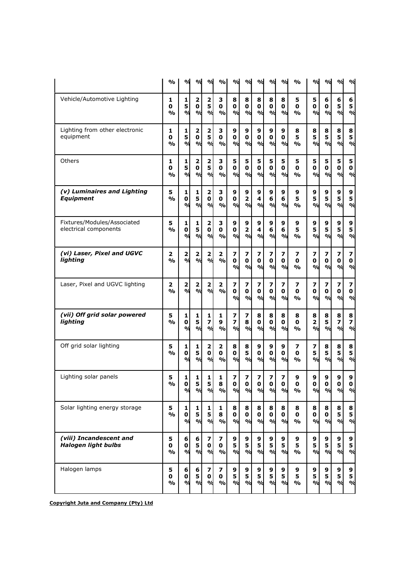|                                                       | $\mathsf{o}\mathsf{v}_\mathsf{o}$           | %                                        | ℀                                                                 | ℁                                                                  | $\frac{1}{2}$                     | %                                           | ℀                                                       | %                                             | ℀                                   | %                                 | %                       | %                                           | $\alpha$                                    | %                                   | %                                   |
|-------------------------------------------------------|---------------------------------------------|------------------------------------------|-------------------------------------------------------------------|--------------------------------------------------------------------|-----------------------------------|---------------------------------------------|---------------------------------------------------------|-----------------------------------------------|-------------------------------------|-----------------------------------|-------------------------|---------------------------------------------|---------------------------------------------|-------------------------------------|-------------------------------------|
| Vehicle/Automotive Lighting                           | 1<br>0<br>$\mathsf{o}\mathsf{v}_\mathsf{o}$ | 1<br>5<br>ο/                             | $\overline{2}$<br>$\mathbf 0$<br>$\frac{9}{6}$                    | $\mathbf 2$<br>5<br>$\frac{1}{2}$                                  | з<br>0<br>$\frac{9}{0}$           | 8<br>0<br>%                                 | 8<br>$\mathbf 0$<br>$\mathbf{O}/\mathbf{d}$             | 8<br>$\mathbf 0$<br>$\mathbf{O}/\mathbf{d}$   | 8<br>$\mathbf 0$<br>%               | 8<br>0<br>$\frac{0}{0}$           | 5<br>0<br>%             | 5<br>0<br>$\frac{0}{0}$                     | 6<br>0<br>$\mathbf{O}/\mathbf{O}$           | 6<br>5<br>%                         | 6<br>5<br>$\frac{0}{6}$             |
| Lighting from other electronic<br>equipment           | 1<br>0<br>%                                 | $\mathbf{1}$<br>5<br>$\mathbf{o}_{\ell}$ | $\overline{\mathbf{2}}$<br>$\mathbf 0$<br>$\mathbf{O}/\mathbf{C}$ | $\mathbf 2$<br>5<br>$\mathbf{Q}_0$                                 | з<br>0<br>$\mathbf{O}/\mathbf{o}$ | 9<br>$\mathbf 0$<br>$\mathbf{O}/\mathbf{O}$ | 9<br>0<br>$\mathbf{O}/\mathbf{G}$                       | 9<br>$\mathbf 0$<br>$\mathbf{O}/\mathbf{d}$   | 9<br>$\mathbf 0$<br>ο/              | 9<br>0<br>$\frac{0}{0}$           | 8<br>5<br>$\frac{0}{0}$ | 8<br>5<br>$\mathbf{O}/\mathbf{O}$           | 8<br>5<br>$\alpha$                          | 8<br>5<br>ο/ <sub>σ</sub>           | 8<br>5<br>$\frac{1}{2}$             |
| Others                                                | 1<br>0<br>%                                 | 1<br>5<br>ο/                             | $\overline{\mathbf{2}}$<br>$\mathbf 0$<br>%                       | $\mathbf 2$<br>5<br>$\frac{1}{2}$                                  | з<br>0<br>$\frac{9}{0}$           | 5<br>$\mathbf 0$<br>%                       | 5<br>$\mathbf 0$<br>$\mathcal{O}/\mathcal{O}$           | 5<br>$\mathbf 0$<br>$\mathbf{O}/\mathbf{d}$   | 5<br>$\mathbf 0$<br>%               | 5<br>$\mathbf 0$<br>$\frac{9}{0}$ | 5<br>0<br>$\frac{0}{0}$ | 5<br>0<br>$\alpha$                          | 5<br>$\mathbf 0$<br>$\alpha$                | 5<br>$\mathbf 0$<br>ο/ <sub>σ</sub> | 5<br>$\mathbf 0$<br>$\frac{0}{6}$   |
| (v) Luminaires and Lighting<br><b>Equipment</b>       | 5<br>%                                      | $\mathbf{1}$<br>0<br>$\mathbf{o}_k$      | 1<br>5<br>$\mathcal{O}/\mathcal{O}$                               | $\overline{\mathbf{2}}$<br>0<br>$\mathbf{O}/c$                     | з<br>0<br>%                       | 9<br>$\mathbf 0$<br>$\mathbf{O}/\mathbf{O}$ | 9<br>$\overline{\mathbf{2}}$<br>$\mathbf{O}/\mathbf{d}$ | 9<br>4<br>$\mathbf{O}/\mathbf{d}$             | 9<br>6<br>$\frac{9}{4}$             | 9<br>6<br>$\frac{9}{0}$           | 9<br>5<br>$\frac{0}{0}$ | 9<br>5<br>$\alpha$                          | 9<br>5<br>$\alpha$                          | 9<br>5<br>$\mathbf{O}/\mathbf{C}$   | 9<br>5<br>$\frac{1}{2}$             |
| Fixtures/Modules/Associated<br>electrical components  | 5<br>$\frac{0}{0}$                          | 1<br>0<br>$\mathbf{v}_0$                 | 1<br>5<br>$\frac{9}{6}$                                           | $\overline{\mathbf{2}}$<br>0<br>$\frac{1}{2}$                      | з<br>$\mathbf 0$<br>$\frac{9}{0}$ | 9<br>$\mathbf 0$<br>%                       | 9<br>$\overline{\mathbf{2}}$<br>%                       | 9<br>4<br>$\mathcal{O}/\mathcal{O}$           | 9<br>6<br>%                         | 9<br>6<br>$\frac{0}{0}$           | 9<br>5<br>%             | 9<br>5<br>$\alpha$                          | 9<br>5<br>$\alpha$                          | 9<br>5<br>%                         | 9<br>5<br>$\frac{1}{2}$             |
| (vi) Laser, Pixel and UGVC<br>lighting                | 2<br>$\frac{0}{0}$                          | $\mathbf 2$<br>$\mathbf{o}_k$            | 2<br>$\mathbf{v}_0$                                               | $\mathbf 2$<br>$\mathbf{Q}_0$                                      | 2<br>$\frac{0}{0}$                | 7<br>0<br>$\mathbf{O}/\mathbf{O}$           | 7<br>0<br>$\mathbf{O}/\mathbf{d}$                       | 7<br>$\mathbf 0$<br>$\mathbf{v}_0$            | 7<br>0<br>$\mathcal{O}/\mathcal{O}$ | 7<br>0<br>$\frac{9}{0}$           | 7<br>0<br>$\frac{0}{0}$ | $\overline{\mathbf{z}}$<br>0<br>$\alpha$    | 7<br>0<br>$\alpha$                          | 7<br>$\bf{0}$<br>$\alpha$           | 7<br>$\pmb{0}$<br>$\frac{0}{6}$     |
| Laser, Pixel and UGVC lighting                        | 2<br>%                                      | $\overline{\mathbf{2}}$<br>$\mathbf{o}/$ | 2<br>$\mathbf{O}/c$                                               | 2<br>$\frac{1}{2}$                                                 | 2<br>$\frac{0}{0}$                | 7<br>$\mathbf 0$<br>$\alpha$                | 7<br>$\mathbf 0$<br>$\mathbf{O}/\mathbf{d}$             | 7<br>0<br>$\mathbf{O}/\mathbf{d}$             | 7<br>0<br>$\frac{0}{d}$             | 7<br>0<br>$\frac{9}{0}$           | 7<br>0<br>%             | 7<br>$\mathbf 0$<br>$\mathbf{O}/\mathbf{O}$ | 7<br>$\mathbf 0$<br>$\mathbf{O}/\mathbf{O}$ | 7<br>$\mathbf 0$<br>%               | 7<br>$\pmb{0}$<br>$\frac{0}{6}$     |
| (vii) Off grid solar powered<br>lighting              | 5<br>$\frac{0}{0}$                          | 1<br>0<br>ο/                             | 1<br>5<br>$\frac{9}{6}$                                           | 1<br>7<br>$\frac{1}{2}$                                            | 1<br>9<br>$\frac{0}{0}$           | 7<br>7<br>$\alpha$                          | 7<br>8<br>$\mathbf{O}/\mathbf{d}$                       | 8<br>0<br>$\mathbf{O}/\mathbf{d}$             | 8<br>0<br>$\alpha$                  | 8<br>0<br>$\frac{0}{0}$           | 8<br>0<br>$\frac{0}{0}$ | 8<br>2<br>$\alpha$                          | 8<br>5<br>$\mathbf{O}/\mathbf{O}$           | 8<br>7<br>%                         | 8<br>7<br>$\frac{1}{2}$             |
| Off grid solar lighting                               | 5<br>$\mathbf{0}/\mathbf{0}$                | 1<br>0<br>%                              | 1<br>5<br>$\frac{0}{6}$                                           | $\overline{\mathbf{2}}$<br>$\mathbf 0$<br>$\frac{9}{6}$            | 2<br>0<br>$\mathbf{O}/\mathbf{o}$ | 8<br>$\mathbf 0$<br>$\frac{0}{0}$           | 8<br>5<br>$\mathbf{O}/\mathbf{d}$                       | 9<br>$\pmb{0}$<br>$\mathcal{O}/\mathcal{O}$   | 9<br>$\mathbf 0$<br>%               | 9<br>$\mathbf 0$<br>$\frac{0}{0}$ | 7<br>0<br>$\frac{0}{0}$ | 7<br>5<br>$\frac{1}{2}$                     | 8<br>5<br>$\alpha$                          | 8<br>5<br>%                         | 8<br>5<br>$\frac{0}{6}$             |
| Lighting solar panels                                 | 5<br>%                                      | 1<br>0<br>%                              | 1<br>5<br>$\mathcal{O}/\mathcal{O}$                               | 1<br>5<br>$\mathbf{O}/\mathbf{C}$                                  | 1<br>8<br>$\frac{1}{2}$           | 7<br>0<br>$\frac{9}{9}$                     | 7<br>0<br>$\mathbf{O}/\mathbf{G}$                       | 7<br>0<br>$\mathbf{O}/\mathbf{G}$             | 7<br>0<br>$\frac{1}{2}$             | 7<br>O<br>$\frac{9}{9}$           | 9<br>O<br>$\frac{0}{0}$ | 9<br>O<br>$\frac{9}{9}$                     | 9<br>O<br>$\mathbf{O}/\mathbf{q}$           | 9<br>0<br>$\mathbf{O}/c$            | 9<br>O<br>$\mathcal{O}/\mathcal{O}$ |
| Solar lighting energy storage                         | 5<br>%                                      | 1<br>0<br>%                              | $\mathbf{1}$<br>5 <sup>1</sup><br>$\frac{1}{2}$                   | $\mathbf{1}$<br>5<br>$\frac{1}{2}$                                 | 1<br>8<br>$\frac{0}{0}$           | 8<br>0<br>$\alpha$                          | 8<br>0<br>$\mathbf{O}/\mathbf{d}$                       | 8<br>0<br>$\mathbf{v}_0$                      | 8<br>0<br>$\frac{9}{4}$             | 8<br>$\mathbf 0$<br>$\frac{9}{6}$ | 8<br>0<br>%             | 8<br>$\mathbf 0$<br>$\mathbf{O}/\mathbf{O}$ | 8<br>$\mathbf 0$<br>$\mathbf{O}/\mathbf{O}$ | 8<br>5<br>$\alpha$                  | 8<br>5<br>O/d                       |
| (viii) Incandescent and<br><b>Halogen light bulbs</b> | 5<br>0<br>%                                 | 6<br>0<br>$\mathbf{Q}$                   | 6<br>5 <sup>1</sup><br>%                                          | 7<br>$\mathbf 0$<br>$\mathbf{O}/c$                                 | 7<br>0<br>$\mathbf{O}/\mathbf{o}$ | 9<br>5<br>$\frac{9}{6}$                     | 9<br>5<br>$\frac{9}{6}$                                 | 9<br>$\overline{\mathbf{5}}$<br>$\frac{9}{6}$ | 9<br>5<br>$\mathcal{O}/\mathcal{O}$ | 9<br>5<br>$\frac{1}{2}$           | 9<br>5<br>%             | 9<br>5<br>$\frac{1}{2}$                     | 9<br>5<br>$\alpha$                          | 9<br>5<br>$\mathbf{O}/\mathbf{C}$   | 9<br>5<br>O/d                       |
| Halogen lamps                                         | 5<br>0<br>$\mathsf{o}\!/\mathsf{o}$         | 6<br>0<br>$\mathbf{v}_0$                 | 6<br>5 <sup>1</sup><br>$\mathbf{O}/\mathbf{C}$                    | $\overline{\phantom{a}}$<br>$\mathbf 0$<br>$\mathbf{O}/\mathbf{C}$ | 7<br>0<br>$\frac{1}{2}$           | 9<br>5<br>$\frac{9}{6}$                     | 9<br>5<br>$\frac{9}{6}$                                 | 9<br>5<br>$\frac{9}{6}$                       | 9<br>5<br>$\mathbf{p}_{\mathbf{q}}$ | 9<br>5<br>$\frac{9}{9}$           | 9<br>5<br>$\frac{1}{2}$ | 9<br>5<br>$\frac{9}{9}$                     | 9<br>5<br>$\alpha$                          | 9<br>5<br>$\mathbf{O}/\mathbf{C}$   | 9<br>$\frac{5}{\%}$                 |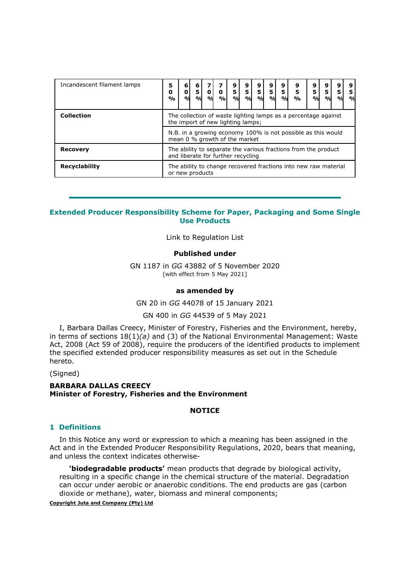| Incandescent filament lamps | 5<br>0<br>$\frac{0}{0}$                                                                              | 6<br>0<br>$\mathbf{o}/$ | 6<br>5<br>$\mathbf{O}/\mathbf{C}$ | $\mathbf{o}_k$ | $\mathbf{o}$<br>$\frac{0}{0}$ | 9<br>5<br>$\mathbf{v}_0$ | 9<br>5<br>$\alpha$ | 9<br>5 <sup>1</sup><br>$\frac{9}{6}$ | 9<br>5 <sup>1</sup><br>$\mathbf{p}_{\alpha}$ | 9<br>5 <br>$\mathbf{v}_0$ | 9<br>5<br>O/2 | 9<br>5<br>$\frac{9}{9}$ | 9<br>5<br>$\frac{0}{d}$ | 9<br>5<br>$\mathbf{O}/\mathbf{C}$ | 9<br>5<br>$\mathbf{o}_k$ |
|-----------------------------|------------------------------------------------------------------------------------------------------|-------------------------|-----------------------------------|----------------|-------------------------------|--------------------------|--------------------|--------------------------------------|----------------------------------------------|---------------------------|---------------|-------------------------|-------------------------|-----------------------------------|--------------------------|
| <b>Collection</b>           | The collection of waste lighting lamps as a percentage against<br>the import of new lighting lamps;  |                         |                                   |                |                               |                          |                    |                                      |                                              |                           |               |                         |                         |                                   |                          |
|                             | N.B. in a growing economy 100% is not possible as this would<br>mean 0 % growth of the market        |                         |                                   |                |                               |                          |                    |                                      |                                              |                           |               |                         |                         |                                   |                          |
| <b>Recovery</b>             | The ability to separate the various fractions from the product<br>and liberate for further recycling |                         |                                   |                |                               |                          |                    |                                      |                                              |                           |               |                         |                         |                                   |                          |
| <b>Recyclability</b>        | The ability to change recovered fractions into new raw material<br>or new products                   |                         |                                   |                |                               |                          |                    |                                      |                                              |                           |               |                         |                         |                                   |                          |

## Extended Producer Responsibility Scheme for Paper, Packaging and Some Single Use Products

Link to Regulation List

#### Published under

GN 1187 in GG 43882 of 5 November 2020 [with effect from 5 May 2021]

#### as amended by

GN 20 in GG 44078 of 15 January 2021

GN 400 in GG 44539 of 5 May 2021

I, Barbara Dallas Creecy, Minister of Forestry, Fisheries and the Environment, hereby, in terms of sections  $18(1)(a)$  and (3) of the National Environmental Management: Waste Act, 2008 (Act 59 of 2008), require the producers of the identified products to implement the specified extended producer responsibility measures as set out in the Schedule hereto.

(Signed)

## BARBARA DALLAS CREECY Minister of Forestry, Fisheries and the Environment

## **NOTICE**

### 1 Definitions

In this Notice any word or expression to which a meaning has been assigned in the Act and in the Extended Producer Responsibility Regulations, 2020, bears that meaning, and unless the context indicates otherwise-

'biodegradable products' mean products that degrade by biological activity, resulting in a specific change in the chemical structure of the material. Degradation can occur under aerobic or anaerobic conditions. The end products are gas (carbon dioxide or methane), water, biomass and mineral components;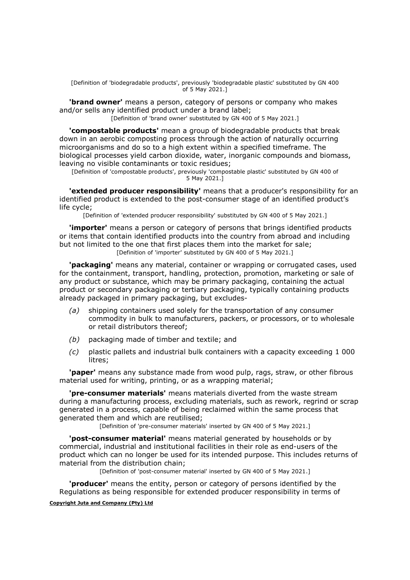[Definition of 'biodegradable products', previously 'biodegradable plastic' substituted by GN 400 of 5 May 2021.]

**'brand owner'** means a person, category of persons or company who makes and/or sells any identified product under a brand label;

[Definition of 'brand owner' substituted by GN 400 of 5 May 2021.]

'compostable products' mean a group of biodegradable products that break down in an aerobic composting process through the action of naturally occurring microorganisms and do so to a high extent within a specified timeframe. The biological processes yield carbon dioxide, water, inorganic compounds and biomass, leaving no visible contaminants or toxic residues;

[Definition of 'compostable products', previously 'compostable plastic' substituted by GN 400 of 5 May 2021.]

'extended producer responsibility' means that a producer's responsibility for an identified product is extended to the post-consumer stage of an identified product's life cycle;

[Definition of 'extended producer responsibility' substituted by GN 400 of 5 May 2021.]

**'importer'** means a person or category of persons that brings identified products or items that contain identified products into the country from abroad and including but not limited to the one that first places them into the market for sale;

[Definition of 'importer' substituted by GN 400 of 5 May 2021.]

'packaging' means any material, container or wrapping or corrugated cases, used for the containment, transport, handling, protection, promotion, marketing or sale of any product or substance, which may be primary packaging, containing the actual product or secondary packaging or tertiary packaging, typically containing products already packaged in primary packaging, but excludes-

- (a) shipping containers used solely for the transportation of any consumer commodity in bulk to manufacturers, packers, or processors, or to wholesale or retail distributors thereof;
- (b) packaging made of timber and textile; and
- (c) plastic pallets and industrial bulk containers with a capacity exceeding 1 000 litres;

'paper' means any substance made from wood pulp, rags, straw, or other fibrous material used for writing, printing, or as a wrapping material;

'pre-consumer materials' means materials diverted from the waste stream during a manufacturing process, excluding materials, such as rework, regrind or scrap generated in a process, capable of being reclaimed within the same process that generated them and which are reutilised;

[Definition of 'pre-consumer materials' inserted by GN 400 of 5 May 2021.]

**'post-consumer material'** means material generated by households or by commercial, industrial and institutional facilities in their role as end-users of the product which can no longer be used for its intended purpose. This includes returns of material from the distribution chain;

[Definition of 'post-consumer material' inserted by GN 400 of 5 May 2021.]

'producer' means the entity, person or category of persons identified by the Regulations as being responsible for extended producer responsibility in terms of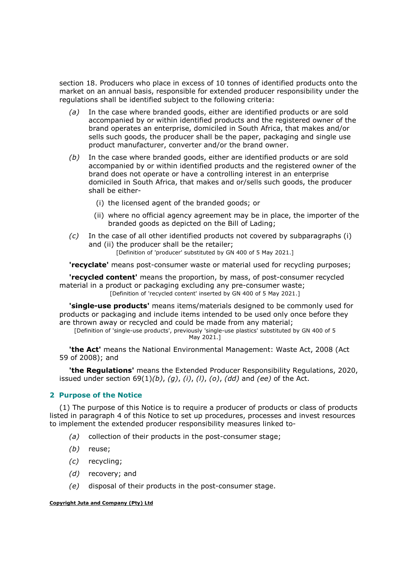section 18. Producers who place in excess of 10 tonnes of identified products onto the market on an annual basis, responsible for extended producer responsibility under the regulations shall be identified subject to the following criteria:

- (a) In the case where branded goods, either are identified products or are sold accompanied by or within identified products and the registered owner of the brand operates an enterprise, domiciled in South Africa, that makes and/or sells such goods, the producer shall be the paper, packaging and single use product manufacturer, converter and/or the brand owner.
- (b) In the case where branded goods, either are identified products or are sold accompanied by or within identified products and the registered owner of the brand does not operate or have a controlling interest in an enterprise domiciled in South Africa, that makes and or/sells such goods, the producer shall be either-
	- (i) the licensed agent of the branded goods; or
	- (ii) where no official agency agreement may be in place, the importer of the branded goods as depicted on the Bill of Lading;
- $(c)$  In the case of all other identified products not covered by subparagraphs (i) and (ii) the producer shall be the retailer;

[Definition of 'producer' substituted by GN 400 of 5 May 2021.]

'recyclate' means post-consumer waste or material used for recycling purposes;

'recycled content' means the proportion, by mass, of post-consumer recycled material in a product or packaging excluding any pre-consumer waste; [Definition of 'recycled content' inserted by GN 400 of 5 May 2021.]

**'single-use products'** means items/materials designed to be commonly used for products or packaging and include items intended to be used only once before they are thrown away or recycled and could be made from any material;

[Definition of 'single-use products', previously 'single-use plastics' substituted by GN 400 of 5 May 2021.1

**'the Act'** means the National Environmental Management: Waste Act, 2008 (Act 59 of 2008); and

'the Regulations' means the Extended Producer Responsibility Regulations, 2020, issued under section  $69(1)(b)$ ,  $(g)$ ,  $(i)$ ,  $(l)$ ,  $(o)$ ,  $(dd)$  and (ee) of the Act.

# 2 Purpose of the Notice

(1) The purpose of this Notice is to require a producer of products or class of products listed in paragraph 4 of this Notice to set up procedures, processes and invest resources to implement the extended producer responsibility measures linked to-

- (a) collection of their products in the post-consumer stage;
- (b) reuse;
- (c) recycling;
- (d) recovery; and
- (e) disposal of their products in the post-consumer stage.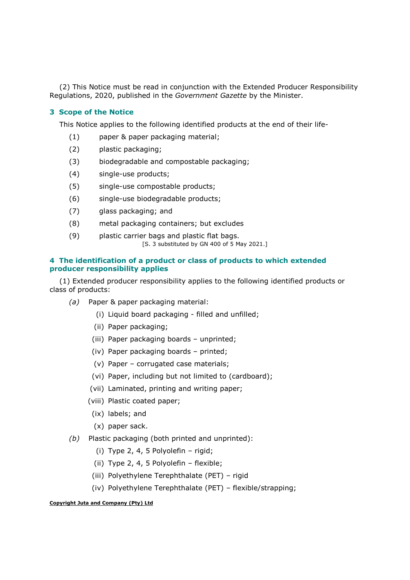(2) This Notice must be read in conjunction with the Extended Producer Responsibility Regulations, 2020, published in the Government Gazette by the Minister.

## 3 Scope of the Notice

This Notice applies to the following identified products at the end of their life-

- (1) paper & paper packaging material;
- (2) plastic packaging;
- (3) biodegradable and compostable packaging;
- (4) single-use products;
- (5) single-use compostable products;
- (6) single-use biodegradable products;
- (7) glass packaging; and
- (8) metal packaging containers; but excludes
- (9) plastic carrier bags and plastic flat bags. [S. 3 substituted by GN 400 of 5 May 2021.]

# 4 The identification of a product or class of products to which extended producer responsibility applies

(1) Extended producer responsibility applies to the following identified products or class of products:

- (a) Paper & paper packaging material:
	- (i) Liquid board packaging filled and unfilled;
	- (ii) Paper packaging;
	- (iii) Paper packaging boards unprinted;
	- (iv) Paper packaging boards printed;
	- (v) Paper corrugated case materials;
	- (vi) Paper, including but not limited to (cardboard);
	- (vii) Laminated, printing and writing paper;
	- (viii) Plastic coated paper;
	- (ix) labels; and
	- (x) paper sack.
- (b) Plastic packaging (both printed and unprinted):
	- (i) Type 2, 4, 5 Polyolefin rigid;
	- (ii) Type 2, 4, 5 Polyolefin flexible;
	- (iii) Polyethylene Terephthalate (PET) rigid
	- (iv) Polyethylene Terephthalate (PET) flexible/strapping;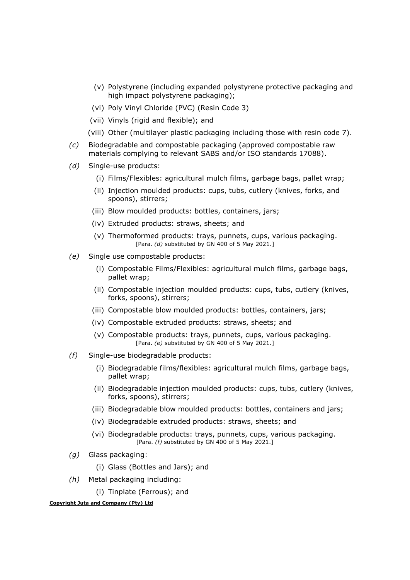- (v) Polystyrene (including expanded polystyrene protective packaging and high impact polystyrene packaging);
- (vi) Poly Vinyl Chloride (PVC) (Resin Code 3)
- (vii) Vinyls (rigid and flexible); and
- (viii) Other (multilayer plastic packaging including those with resin code 7).
- (c) Biodegradable and compostable packaging (approved compostable raw materials complying to relevant SABS and/or ISO standards 17088).
- (d) Single-use products:
	- (i) Films/Flexibles: agricultural mulch films, garbage bags, pallet wrap;
	- (ii) Injection moulded products: cups, tubs, cutlery (knives, forks, and spoons), stirrers;
	- (iii) Blow moulded products: bottles, containers, jars;
	- (iv) Extruded products: straws, sheets; and
	- (v) Thermoformed products: trays, punnets, cups, various packaging. [Para. (d) substituted by GN 400 of 5 May 2021.]
- (e) Single use compostable products:
	- (i) Compostable Films/Flexibles: agricultural mulch films, garbage bags, pallet wrap;
	- (ii) Compostable injection moulded products: cups, tubs, cutlery (knives, forks, spoons), stirrers;
	- (iii) Compostable blow moulded products: bottles, containers, jars;
	- (iv) Compostable extruded products: straws, sheets; and
	- (v) Compostable products: trays, punnets, cups, various packaging. [Para. (e) substituted by GN 400 of 5 May 2021.]
- (f) Single-use biodegradable products:
	- (i) Biodegradable films/flexibles: agricultural mulch films, garbage bags, pallet wrap;
	- (ii) Biodegradable injection moulded products: cups, tubs, cutlery (knives, forks, spoons), stirrers;
	- (iii) Biodegradable blow moulded products: bottles, containers and jars;
	- (iv) Biodegradable extruded products: straws, sheets; and
	- (vi) Biodegradable products: trays, punnets, cups, various packaging. [Para. (f) substituted by GN 400 of 5 May 2021.]
- (g) Glass packaging:
	- (i) Glass (Bottles and Jars); and
- (h) Metal packaging including:
	- (i) Tinplate (Ferrous); and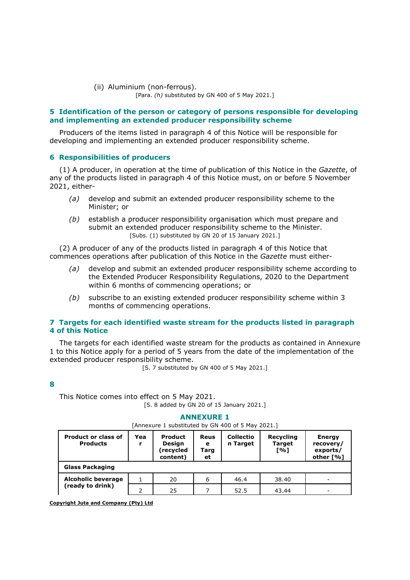#### (ii) Aluminium (non-ferrous). [Para. (h) substituted by GN 400 of 5 May 2021.]

# 5 Identification of the person or category of persons responsible for developing and implementing an extended producer responsibility scheme

Producers of the items listed in paragraph 4 of this Notice will be responsible for developing and implementing an extended producer responsibility scheme.

## 6 Responsibilities of producers

(1) A producer, in operation at the time of publication of this Notice in the Gazette, of any of the products listed in paragraph 4 of this Notice must, on or before 5 November 2021, either-

- (a) develop and submit an extended producer responsibility scheme to the Minister; or
- (b) establish a producer responsibility organisation which must prepare and submit an extended producer responsibility scheme to the Minister. [Subs. (1) substituted by GN 20 of 15 January 2021.]

(2) A producer of any of the products listed in paragraph 4 of this Notice that commences operations after publication of this Notice in the Gazette must either-

- (a) develop and submit an extended producer responsibility scheme according to the Extended Producer Responsibility Regulations, 2020 to the Department within 6 months of commencing operations; or
- (b) subscribe to an existing extended producer responsibility scheme within 3 months of commencing operations.

# 7 Targets for each identified waste stream for the products listed in paragraph 4 of this Notice

The targets for each identified waste stream for the products as contained in Annexure 1 to this Notice apply for a period of 5 years from the date of the implementation of the extended producer responsibility scheme.

[S. 7 substituted by GN 400 of 5 May 2021.]

### 8

This Notice comes into effect on 5 May 2021. [S. 8 added by GN 20 of 15 January 2021.]

### ANNEXURE 1

[Annexure 1 substituted by GN 400 of 5 May 2021.]

| <b>Product or class of</b><br><b>Products</b> | Yea | <b>Product</b><br>Design<br>recycled)<br>content) | Reus<br>е<br>Tarq<br>et | <b>Collectio</b><br>n Target | Recycling<br><b>Target</b><br>[%] | <b>Energy</b><br>recovery/<br>exports/<br>other [%] |
|-----------------------------------------------|-----|---------------------------------------------------|-------------------------|------------------------------|-----------------------------------|-----------------------------------------------------|
| <b>Glass Packaging</b>                        |     |                                                   |                         |                              |                                   |                                                     |
| <b>Alcoholic beverage</b>                     |     | 20                                                | 6                       | 46.4                         | 38.40                             | $\overline{\phantom{a}}$                            |
| (ready to drink)                              |     | 25                                                |                         | 52.5                         | 43.44                             |                                                     |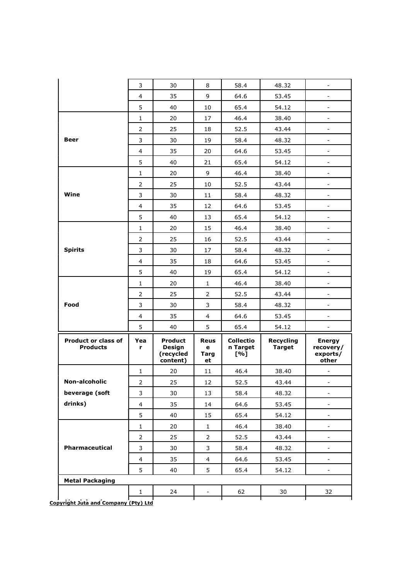|                                               | 3                       | 30                                                       | 8                              | 58.4                                | 48.32                             |                                                 |
|-----------------------------------------------|-------------------------|----------------------------------------------------------|--------------------------------|-------------------------------------|-----------------------------------|-------------------------------------------------|
|                                               | 4                       | 35                                                       | 9                              | 64.6                                | 53.45                             | $\blacksquare$                                  |
|                                               | 5                       | 40                                                       | 10                             | 65.4                                | 54.12                             | $\overline{\phantom{a}}$                        |
|                                               | $\mathbf{1}$            | 20                                                       | 17                             | 46.4                                | 38.40                             | $\overline{\phantom{a}}$                        |
|                                               | 2                       | 25                                                       | 18                             | 52.5                                | 43.44                             | $\overline{\phantom{a}}$                        |
| Beer                                          | 3                       | 30                                                       | 19                             | 58.4                                | 48.32                             | $\overline{\phantom{a}}$                        |
|                                               | 4                       | 35                                                       | 20                             | 64.6                                | 53.45                             |                                                 |
|                                               | 5                       | 40                                                       | 21                             | 65.4                                | 54.12                             | $\overline{\phantom{a}}$                        |
|                                               | 1                       | 20                                                       | 9                              | 46.4                                | 38.40                             | $\overline{a}$                                  |
|                                               | 2                       | 25                                                       | 10                             | 52.5                                | 43.44                             |                                                 |
| Wine                                          | 3                       | 30                                                       | 11                             | 58.4                                | 48.32                             | $\overline{\phantom{a}}$                        |
|                                               | 4                       | 35                                                       | 12                             | 64.6                                | 53.45                             | $\overline{a}$                                  |
|                                               | 5                       | 40                                                       | 13                             | 65.4                                | 54.12                             |                                                 |
|                                               | $\mathbf{1}$            | 20                                                       | 15                             | 46.4                                | 38.40                             | $\overline{\phantom{a}}$                        |
|                                               | 2                       | 25                                                       | 16                             | 52.5                                | 43.44                             | $\overline{a}$                                  |
| <b>Spirits</b>                                | 3                       | 30                                                       | 17                             | 58.4                                | 48.32                             | $\overline{\phantom{0}}$                        |
|                                               | 4                       | 35                                                       | 18                             | 64.6                                | 53.45                             | $\overline{\phantom{a}}$                        |
|                                               | 5                       | 40                                                       | 19                             | 65.4                                | 54.12                             | $\blacksquare$                                  |
|                                               | $\mathbf{1}$            | 20                                                       | $\mathbf{1}$                   | 46.4                                | 38.40                             | $\blacksquare$                                  |
|                                               | 2                       | 25                                                       | $\overline{2}$                 | 52.5                                | 43.44                             | $\overline{\phantom{a}}$                        |
| Food                                          | 3                       | 30                                                       | 3                              | 58.4                                | 48.32                             | $\overline{\phantom{a}}$                        |
|                                               | 4                       | 35                                                       | $\overline{4}$                 | 64.6                                | 53.45                             | ٠                                               |
|                                               | 5                       | 40                                                       | 5                              | 65.4                                | 54.12                             | -                                               |
| <b>Product or class of</b><br><b>Products</b> | Yea<br>r                | <b>Product</b><br><b>Design</b><br>(recycled<br>content) | <b>Reus</b><br>е<br>Targ<br>et | <b>Collectio</b><br>n Target<br>[%] | <b>Recycling</b><br><b>Target</b> | <b>Energy</b><br>recovery/<br>exports/<br>other |
|                                               | $\mathbf{1}$            | 20                                                       | 11                             | 46.4                                | 38.40                             |                                                 |
| Non-alcoholic                                 | $\overline{2}$          | 25                                                       | 12                             | 52.5                                | 43.44                             | $\overline{\phantom{a}}$                        |
| beverage (soft                                | 3                       | 30                                                       | 13                             | 58.4                                | 48.32                             | -                                               |
| drinks)                                       |                         |                                                          |                                |                                     |                                   | $\qquad \qquad \blacksquare$                    |
|                                               | 4                       | 35                                                       | 14                             | 64.6                                | 53.45                             |                                                 |
|                                               | 5                       | 40                                                       | 15                             | 65.4                                | 54.12                             |                                                 |
|                                               | $\mathbf{1}$            | 20                                                       | $\mathbf{1}$                   | 46.4                                | 38.40                             | $\overline{\phantom{0}}$                        |
|                                               | 2                       | 25                                                       | 2                              | 52.5                                | 43.44                             | $\overline{\phantom{0}}$                        |
| Pharmaceutical                                | 3                       | 30                                                       | 3                              | 58.4                                | 48.32                             | $\overline{\phantom{0}}$                        |
|                                               | $\overline{\mathbf{4}}$ | 35                                                       | 4                              | 64.6                                | 53.45                             | -                                               |
|                                               | 5                       | 40                                                       | 5                              | 65.4                                | 54.12                             | $\overline{\phantom{m}}$                        |
| <b>Metal Packaging</b>                        |                         |                                                          |                                |                                     |                                   |                                                 |
|                                               | 1                       | 24                                                       |                                | 62                                  | 30                                | 32                                              |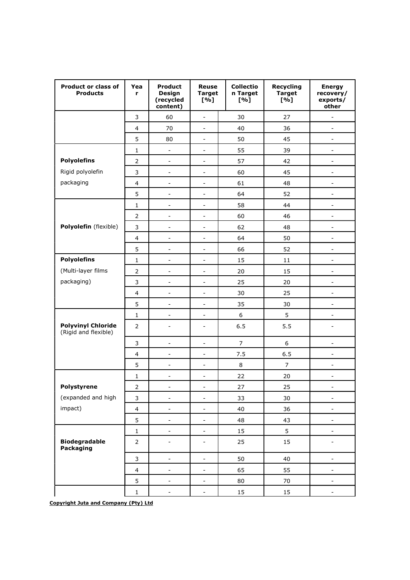| <b>Product or class of</b><br><b>Products</b>     | Yea<br>r                | <b>Product</b><br><b>Design</b><br>(recycled<br>content) | <b>Reuse</b><br><b>Target</b><br>[%] | <b>Collectio</b><br>n Target<br>[%] | Recycling<br><b>Target</b><br>[%] | <b>Energy</b><br>recovery/<br>exports/<br>other |
|---------------------------------------------------|-------------------------|----------------------------------------------------------|--------------------------------------|-------------------------------------|-----------------------------------|-------------------------------------------------|
|                                                   | 3                       | 60                                                       | $\overline{\phantom{0}}$             | 30                                  | 27                                | -                                               |
|                                                   | $\overline{4}$          | 70                                                       | $\overline{\phantom{a}}$             | 40                                  | 36                                | $\overline{\phantom{0}}$                        |
|                                                   | 5                       | 80                                                       | $\overline{a}$                       | 50                                  | 45                                | $\overline{a}$                                  |
|                                                   | $\mathbf{1}$            | $\blacksquare$                                           | $\qquad \qquad -$                    | 55                                  | 39                                | $\frac{1}{2}$                                   |
| <b>Polyolefins</b>                                | $\overline{2}$          | $\equiv$                                                 | $\overline{\phantom{a}}$             | 57                                  | 42                                | $\frac{1}{2}$                                   |
| Rigid polyolefin                                  | 3                       | $\overline{\phantom{a}}$                                 | $\overline{\phantom{a}}$             | 60                                  | 45                                | $\overline{a}$                                  |
| packaging                                         | 4                       | $\blacksquare$                                           | $\qquad \qquad -$                    | 61                                  | 48                                | -                                               |
|                                                   | 5                       | $\blacksquare$                                           | $\overline{\phantom{a}}$             | 64                                  | 52                                | $\overline{\phantom{0}}$                        |
|                                                   | $\mathbf{1}$            | $\overline{\phantom{a}}$                                 | $\overline{\phantom{0}}$             | 58                                  | 44                                | $\overline{a}$                                  |
|                                                   | $\overline{2}$          | $\blacksquare$                                           | $\qquad \qquad -$                    | 60                                  | 46                                | $\overline{\phantom{0}}$                        |
| Polyolefin (flexible)                             | 3                       | $\overline{\phantom{a}}$                                 | $\overline{a}$                       | 62                                  | 48                                | $\overline{a}$                                  |
|                                                   | $\overline{4}$          | $\blacksquare$                                           | $\overline{\phantom{a}}$             | 64                                  | 50                                | $\overline{\phantom{0}}$                        |
|                                                   | 5                       | $\blacksquare$                                           | $\qquad \qquad \blacksquare$         | 66                                  | 52                                | $\overline{\phantom{0}}$                        |
| <b>Polyolefins</b>                                | $\mathbf{1}$            | $\overline{\phantom{a}}$                                 | $\overline{a}$                       | 15                                  | 11                                | $\overline{\phantom{a}}$                        |
| (Multi-layer films                                | $\overline{2}$          | $\blacksquare$                                           | $\overline{\phantom{a}}$             | 20                                  | 15                                | $\overline{\phantom{0}}$                        |
| packaging)                                        | 3                       | $\blacksquare$                                           | $\overline{\phantom{0}}$             | 25                                  | 20                                | $\overline{\phantom{a}}$                        |
|                                                   | $\overline{4}$          | $\overline{\phantom{a}}$                                 | $\overline{a}$                       | 30                                  | 25                                | $\overline{\phantom{0}}$                        |
|                                                   | 5                       | $\blacksquare$                                           | $\overline{a}$                       | 35                                  | 30                                | $\overline{a}$                                  |
|                                                   | 1                       | $\blacksquare$                                           | $\qquad \qquad -$                    | 6                                   | 5                                 | -                                               |
| <b>Polyvinyl Chloride</b><br>(Rigid and flexible) | $\overline{2}$          | $\overline{\phantom{a}}$                                 | $\overline{\phantom{0}}$             | 6.5                                 | 5.5                               | $\overline{a}$                                  |
|                                                   | 3                       | $\overline{\phantom{a}}$                                 | $\overline{a}$                       | $\overline{7}$                      | 6                                 | $\frac{1}{2}$                                   |
|                                                   | $\overline{4}$          | $\overline{\phantom{a}}$                                 | $\overline{a}$                       | 7.5                                 | 6.5                               | $\overline{\phantom{0}}$                        |
|                                                   | 5                       | $\blacksquare$                                           | $\qquad \qquad -$                    | $\,8\,$                             | $\boldsymbol{7}$                  | $\overline{\phantom{0}}$                        |
|                                                   | 1                       | $\overline{\phantom{a}}$                                 | $\overline{a}$                       | 22                                  | 20                                | $\overline{\phantom{0}}$                        |
| Polystyrene                                       | $\mathsf{2}\,$          |                                                          |                                      | 27                                  | 25                                |                                                 |
| (expanded and high                                | $\mathsf{3}$            | $\blacksquare$                                           | $\frac{1}{2}$                        | 33                                  | 30                                | -                                               |
| impact)                                           | $\overline{\mathbf{4}}$ | $\equiv$                                                 | $\frac{1}{2}$                        | 40                                  | 36                                | $\frac{1}{2}$                                   |
|                                                   | 5                       | $\overline{\phantom{a}}$                                 | $\frac{1}{2}$                        | 48                                  | 43                                | $\overline{\phantom{0}}$                        |
|                                                   | $\mathbf 1$             | $\blacksquare$                                           | $\qquad \qquad -$                    | 15                                  | 5                                 | -                                               |
| <b>Biodegradable</b><br>Packaging                 | $\mathsf{2}\,$          |                                                          | $\overline{\phantom{0}}$             | 25                                  | 15                                |                                                 |
|                                                   | $\mathsf 3$             | $\blacksquare$                                           | $\blacksquare$                       | 50                                  | 40                                | $\overline{\phantom{0}}$                        |
|                                                   | $\overline{\mathbf{4}}$ | $\qquad \qquad \blacksquare$                             | $\blacksquare$                       | 65                                  | 55                                | $\overline{\phantom{0}}$                        |
|                                                   | 5                       | $\overline{\phantom{a}}$                                 | $\overline{\phantom{0}}$             | 80                                  | 70                                | -                                               |
|                                                   | $\mathbf 1$             | $\overline{\phantom{a}}$                                 | $\overline{\phantom{0}}$             | 15                                  | $15\,$                            | $\overline{\phantom{0}}$                        |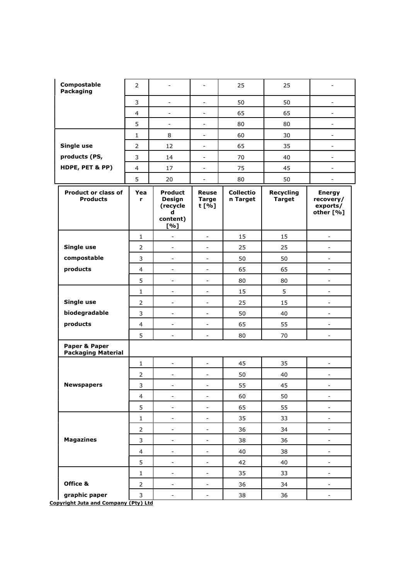| Compostable<br>Packaging                      | $\overline{2}$ |                                                                     | $\overline{\phantom{a}}$              | 25                           | 25                                | $\overline{\phantom{0}}$                            |
|-----------------------------------------------|----------------|---------------------------------------------------------------------|---------------------------------------|------------------------------|-----------------------------------|-----------------------------------------------------|
|                                               | 3              | $\blacksquare$                                                      | $\blacksquare$                        | 50                           | 50                                | $\overline{\phantom{a}}$                            |
|                                               | $\overline{4}$ | $\overline{\phantom{a}}$                                            | $\blacksquare$                        | 65                           | 65                                | $\overline{\phantom{0}}$                            |
|                                               | 5              | $\equiv$                                                            | -                                     | 80                           | 80                                | $\overline{\phantom{a}}$                            |
|                                               | 1              | 8                                                                   | $\blacksquare$                        | 60                           | 30                                | $\overline{\phantom{a}}$                            |
| Single use                                    | $\overline{2}$ | 12                                                                  | $\overline{\phantom{a}}$              | 65                           | 35                                | $\overline{\phantom{0}}$                            |
| products (PS,                                 | 3              | 14                                                                  | $\overline{\phantom{0}}$              | 70                           | 40                                | $\overline{\phantom{a}}$                            |
| HDPE, PET & PP)                               | 4              | 17                                                                  | $\blacksquare$                        | 75                           | 45                                | $\overline{\phantom{a}}$                            |
|                                               | 5              | 20                                                                  | $\overline{\phantom{a}}$              | 80                           | 50                                | $\overline{\phantom{0}}$                            |
| <b>Product or class of</b><br><b>Products</b> | Yea<br>r       | <b>Product</b><br><b>Design</b><br>(recycle<br>d<br>content)<br>[%] | <b>Reuse</b><br><b>Targe</b><br>t [%] | <b>Collectio</b><br>n Target | <b>Recycling</b><br><b>Target</b> | <b>Energy</b><br>recovery/<br>exports/<br>other [%] |
|                                               | $\mathbf{1}$   | $\overline{a}$                                                      | $\overline{\phantom{a}}$              | 15                           | 15                                | $\blacksquare$                                      |
| Single use                                    | $\overline{2}$ | $\blacksquare$                                                      | $\blacksquare$                        | 25                           | 25                                | $\overline{\phantom{a}}$                            |
| compostable                                   | 3              | $\overline{\phantom{a}}$                                            | $\overline{\phantom{a}}$              | 50                           | 50                                | $\blacksquare$                                      |
| products                                      | $\overline{4}$ | $\overline{\phantom{a}}$                                            | $\overline{\phantom{a}}$              | 65                           | 65                                | $\overline{\phantom{a}}$                            |
|                                               | 5              | $\overline{\phantom{0}}$                                            | $\overline{\phantom{a}}$              | 80                           | 80                                | $\overline{\phantom{a}}$                            |
|                                               | $\mathbf{1}$   | $\qquad \qquad \blacksquare$                                        | $\overline{\phantom{a}}$              | 15                           | 5                                 | $\qquad \qquad \blacksquare$                        |
| Single use                                    | $\overline{2}$ | $\overline{\phantom{m}}$                                            | $\overline{\phantom{a}}$              | 25                           | 15                                | $\Box$                                              |
| biodegradable                                 | 3              | $\overline{\phantom{0}}$                                            | $\overline{\phantom{a}}$              | 50                           | 40                                | $\overline{\phantom{a}}$                            |
| products                                      | 4              | $\qquad \qquad \blacksquare$                                        | $\blacksquare$                        | 65                           | 55                                | $\qquad \qquad \blacksquare$                        |
|                                               | 5              | $\overline{\phantom{m}}$                                            | $\blacksquare$                        | 80                           | 70                                | $\overline{\phantom{a}}$                            |
| Paper & Paper<br><b>Packaging Material</b>    |                |                                                                     |                                       |                              |                                   |                                                     |
|                                               | 1              | -                                                                   | $\qquad \qquad \blacksquare$          | 45                           | 35                                | $\qquad \qquad \blacksquare$                        |
|                                               | $\overline{2}$ | -                                                                   | $\overline{\phantom{a}}$              | 50                           | 40                                | $\blacksquare$                                      |
| <b>Newspapers</b>                             | 3              | -                                                                   | -                                     | 55                           | 45                                |                                                     |
|                                               | $\overline{4}$ | $\overline{\phantom{0}}$                                            | -                                     | 60                           | 50                                | $\qquad \qquad \blacksquare$                        |
|                                               | 5              | $\qquad \qquad \blacksquare$                                        | $\qquad \qquad \blacksquare$          | 65                           | 55                                | $\overline{\phantom{a}}$                            |
|                                               | $\mathbf{1}$   | $\blacksquare$                                                      | $\overline{\phantom{0}}$              | 35                           | 33                                | $\Box$                                              |
|                                               | $\overline{2}$ | $\overline{\phantom{0}}$                                            | $\qquad \qquad \blacksquare$          | 36                           | 34                                | $\Box$                                              |
| <b>Magazines</b>                              | $\mathsf 3$    | $\qquad \qquad \blacksquare$                                        | $\qquad \qquad \blacksquare$          | 38                           | 36                                | $\blacksquare$                                      |
|                                               | $\overline{4}$ | $\blacksquare$                                                      | $\overline{\phantom{0}}$              | 40                           | 38                                | $\overline{\phantom{a}}$                            |
|                                               | 5              | $\qquad \qquad \blacksquare$                                        | $\overline{\phantom{a}}$              | 42                           | 40                                | $\overline{\phantom{a}}$                            |
|                                               | $\mathbf{1}$   | $\qquad \qquad \blacksquare$                                        | $\qquad \qquad \blacksquare$          | 35                           | 33                                | $\overline{\phantom{a}}$                            |
| Office &                                      | $\overline{2}$ | $\blacksquare$                                                      | $\equiv$                              | 36                           | 34                                | $\blacksquare$                                      |
| graphic paper                                 | $\mathsf{3}$   | $\overline{\phantom{0}}$                                            | $\qquad \qquad \blacksquare$          | 38                           | 36                                | $\overline{\phantom{a}}$                            |